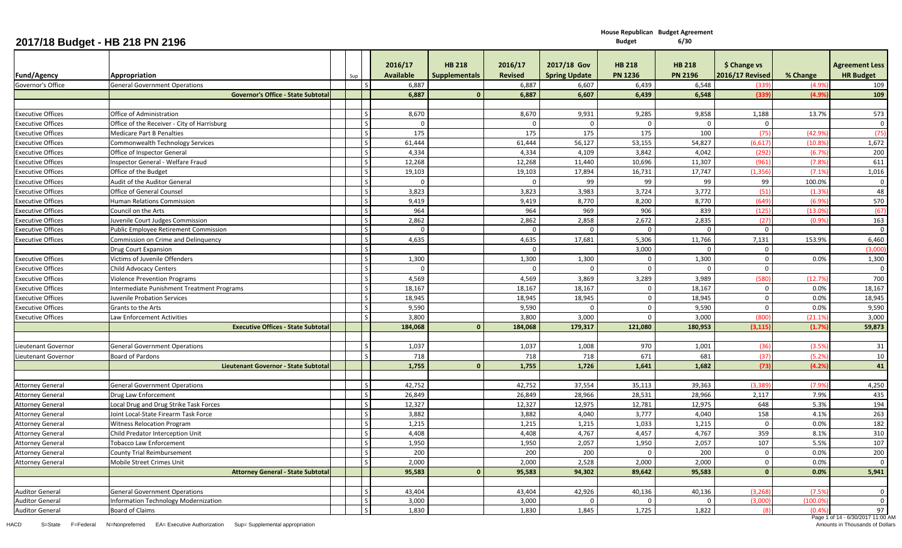|                          | 2017/18 Budget - HB 218 PN 2196             |     |                       |                                       |                           |                                     | <b>Budget</b>                   | 6/30                            |                                        |          |                                           |
|--------------------------|---------------------------------------------|-----|-----------------------|---------------------------------------|---------------------------|-------------------------------------|---------------------------------|---------------------------------|----------------------------------------|----------|-------------------------------------------|
| <b>Fund/Agency</b>       | <b>Appropriation</b>                        | Sup | 2016/17<br>Available  | <b>HB 218</b><br><b>Supplementals</b> | 2016/17<br><b>Revised</b> | 2017/18 Gov<br><b>Spring Update</b> | <b>HB 218</b><br><b>PN 1236</b> | <b>HB 218</b><br><b>PN 2196</b> | \$ Change vs<br><b>2016/17 Revised</b> | % Change | <b>Agreement Less</b><br><b>HR Budget</b> |
| Governor's Office        | <b>General Government Operations</b>        |     | 6,887<br>l S          |                                       | 6,887                     | 6,607                               | 6,439                           | 6,548                           | (339)                                  | (4.9%    | 109                                       |
|                          | Governor's Office - State Subtota           |     | 6,887                 | -0                                    | 6,887                     | 6,607                               | 6,439                           | 6,548                           | (339)                                  | (4.9%    | 109                                       |
|                          |                                             |     |                       |                                       |                           |                                     |                                 |                                 |                                        |          |                                           |
| <b>Executive Offices</b> | Office of Administration                    |     | 8,670                 |                                       | 8,670                     | 9,931                               | 9,285                           | 9,858                           | 1,188                                  | 13.7%    | 573                                       |
| <b>Executive Offices</b> | Office of the Receiver - City of Harrisburg |     | l s                   |                                       | $\Omega$                  | $\Omega$                            | $\Omega$                        | $\Omega$                        | $\Omega$                               |          | $\overline{0}$                            |
| <b>Executive Offices</b> | <b>Medicare Part B Penalties</b>            |     | l S<br>175            |                                       | 175                       | 175                                 | 175                             | 100                             | (75)                                   | (42.9%   | (75                                       |
| <b>Executive Offices</b> | Commonwealth Technology Services            |     | 61,444                |                                       | 61,444                    | 56,127                              | 53,155                          | 54,827                          | (6, 617)                               | (10.89)  | 1,672                                     |
| <b>Executive Offices</b> | Office of Inspector General                 |     | l s<br>4,334          |                                       | 4,334                     | 4,109                               | 3,842                           | 4,042                           | (292)                                  | (6.7%    | 200                                       |
| <b>Executive Offices</b> | Inspector General - Welfare Fraud           |     | 12,268                |                                       | 12,268                    | 11,440                              | 10,696                          | 11,307                          | (961)                                  | (7.8%    | 611                                       |
| <b>Executive Offices</b> | Office of the Budget                        |     | l s<br>19,103         |                                       | 19,103                    | 17,894                              | 16,731                          | 17,747                          | (1, 356)                               | (7.1%    | 1,016                                     |
| Executive Offices        | Audit of the Auditor General                |     | l S                   |                                       | $\mathbf 0$               | 99                                  | 99                              | 99                              | 99                                     | 100.0%   | $\overline{0}$                            |
| <b>Executive Offices</b> | Office of General Counsel                   |     | l S<br>3,823          |                                       | 3,823                     | 3,983                               | 3,724                           | 3,772                           | (51)                                   | (1.3%    | 48                                        |
| <b>Executive Offices</b> | <b>Human Relations Commission</b>           |     | l S<br>9,419          |                                       | 9,419                     | 8,770                               | 8,200                           | 8,770                           | (649)                                  | (6.9%    | 570                                       |
| <b>Executive Offices</b> | Council on the Arts                         |     | 964                   |                                       | 964                       | 969                                 | 906                             | 839                             | (125)                                  | (13.0%   | (67)                                      |
| <b>Executive Offices</b> | <b>Iuvenile Court Judges Commission</b>     |     | 2,862                 |                                       | 2,862                     | 2,858                               | 2,672                           | 2,835                           | (27)                                   | (0.9%    | 163                                       |
| <b>Executive Offices</b> | Public Employee Retirement Commission       |     | S                     | $\mathbf 0$                           | $\mathbf 0$               | $\mathbf{0}$                        | $\Omega$                        | $\Omega$                        | $\mathbf{0}$                           |          | $\overline{0}$                            |
| <b>Executive Offices</b> | Commission on Crime and Delinguency         |     | <sub>S</sub><br>4,635 |                                       | 4,635                     | 17,681                              | 5,306                           | 11,766                          | 7,131                                  | 153.9%   | 6,460                                     |
|                          | Drug Court Expansion                        |     | l s                   |                                       | $\mathbf 0$               |                                     | 3,000                           | $\Omega$                        | $\mathbf 0$                            |          | (3,000)                                   |
| <b>Executive Offices</b> | Victims of Juvenile Offenders               |     | 1,300                 |                                       | 1,300                     | 1,300                               | $\mathbf 0$                     | 1,300                           | $\mathbf 0$                            | 0.0%     | 1,300                                     |
| <b>Executive Offices</b> | <b>Child Advocacy Centers</b>               |     | l s                   |                                       | $\mathbf 0$               | $\Omega$                            | $\Omega$                        | $\Omega$                        | $\mathbf 0$                            |          | $\overline{0}$                            |
| Executive Offices        | <b>Violence Prevention Programs</b>         |     | 4,569                 |                                       | 4,569                     | 3,869                               | 3,289                           | 3,989                           | (580)                                  | (12.7%   | 700                                       |
| <b>Executive Offices</b> | ntermediate Punishment Treatment Programs   |     | 18,167                |                                       | 18,167                    | 18,167                              | $\mathbf 0$                     | 18,167                          | $\mathbf 0$                            | 0.0%     | 18,167                                    |
| Executive Offices        | Iuvenile Probation Services                 |     | 18,945                |                                       | 18,945                    | 18,945                              | $\mathbf 0$                     | 18,945                          | $\mathbf 0$                            | 0.0%     | 18,945                                    |
| <b>Executive Offices</b> | Grants to the Arts                          |     | l S<br>9,590          |                                       | 9,590                     | $\Omega$                            | $\mathbf 0$                     | 9,590                           | $\mathbf{0}$                           | 0.0%     | 9,590                                     |
| <b>Executive Offices</b> | Law Enforcement Activities                  |     | l s<br>3,800          |                                       | 3,800                     | 3,000                               | $\Omega$                        | 3,000                           | (800)                                  | (21.19)  | 3,000                                     |
|                          | <b>Executive Offices - State Subtota</b>    |     | 184,068               | $\Omega$                              | 184,068                   | 179,317                             | 121,080                         | 180,953                         | (3, 115)                               | (1.7%    | 59,873                                    |
|                          |                                             |     |                       |                                       |                           |                                     |                                 |                                 |                                        |          |                                           |
| Lieutenant Governoi      | <b>General Government Operations</b>        |     | 1,037                 |                                       | 1,037                     | 1,008                               | 970                             | 1,001                           | (36)                                   | (3.5%    | 31                                        |
| Lieutenant Governor      | Board of Pardons                            |     | l S<br>718            |                                       | 718                       | 718                                 | 671                             | 681                             | (37)                                   | (5.2%    | 10                                        |
|                          | Lieutenant Governor - State Subtota         |     | 1,755                 | $\mathbf{0}$                          | 1,755                     | 1,726                               | 1,641                           | 1,682                           | (73)                                   | (4.2%    | 41                                        |
|                          |                                             |     |                       |                                       |                           |                                     |                                 |                                 |                                        |          |                                           |
| <b>Attorney General</b>  | <b>General Government Operations</b>        |     | 42,752                |                                       | 42,752                    | 37,554                              | 35,113                          | 39,363                          | (3, 389)                               | (7.9%    | 4,250                                     |
| <b>Attorney General</b>  | Drug Law Enforcement                        |     | 26,849                |                                       | 26,849                    | 28,966                              | 28,531                          | 28,966                          | 2,117                                  | 7.9%     | 435                                       |
| <b>Attorney General</b>  | Local Drug and Drug Strike Task Forces      |     | l S<br>12,327         |                                       | 12,327                    | 12,975                              | 12,781                          | 12,975                          | 648                                    | 5.3%     | 194                                       |
| <b>Attorney General</b>  | Joint Local-State Firearm Task Force        |     | l s<br>3,882          |                                       | 3,882                     | 4,040                               | 3,777                           | 4,040                           | 158                                    | 4.1%     | 263                                       |
| <b>Attorney General</b>  | <b>Witness Relocation Program</b>           |     | 1,215                 |                                       | 1,215                     | 1,215                               | 1,033                           | 1,215                           | $\mathbf 0$                            | 0.0%     | 182                                       |
| <b>Attorney General</b>  | Child Predator Interception Unit            |     | 4,408<br>١s           |                                       | 4,408                     | 4,767                               | 4,457                           | 4,767                           | 359                                    | 8.1%     | 310                                       |
| <b>Attorney General</b>  | <b>Tobacco Law Enforcement</b>              |     | $\mathsf{S}$<br>1,950 |                                       | 1,950                     | 2,057                               | 1,950                           | 2,057                           | 107                                    | 5.5%     | 107                                       |
| <b>Attorney General</b>  | County Trial Reimbursement                  |     | $\mathsf{s}$<br>200   |                                       | 200                       | 200                                 | $\mathbf{0}$                    | 200                             | $\mathbf 0$                            | 0.0%     | 200                                       |
| <b>Attorney General</b>  | Mobile Street Crimes Unit                   |     | $\mathsf{S}$<br>2,000 |                                       | 2,000                     | 2,528                               | 2,000                           | 2,000                           | $\mathbf 0$                            | 0.0%     | - 0                                       |
|                          | <b>Attorney General - State Subtotal</b>    |     | 95,583                | $\Omega$                              | 95,583                    | 94,302                              | 89,642                          | 95,583                          | $\mathbf{0}$                           | 0.0%     | 5,941                                     |
|                          |                                             |     |                       |                                       |                           |                                     |                                 |                                 |                                        |          |                                           |
| <b>Auditor General</b>   | <b>General Government Operations</b>        |     | 43,404                |                                       | 43,404                    | 42,926                              | 40,136                          | 40,136                          | (3, 268)                               | (7.5%    | $\overline{0}$                            |
| <b>Auditor General</b>   | <b>Information Technology Modernization</b> |     | 3,000<br>S            |                                       | 3,000                     | $\overline{0}$                      | $\overline{0}$                  | $\overline{0}$                  | (3,000)                                | (100.0%  | $\mathbf 0$                               |
| <b>Auditor General</b>   | Board of Claims                             |     | $\mathsf{S}$<br>1,830 |                                       | 1,830                     | 1,845                               | 1,725                           | 1,822                           | (8)                                    | (0.4%    | 97                                        |

**House Republican Budget Agreement**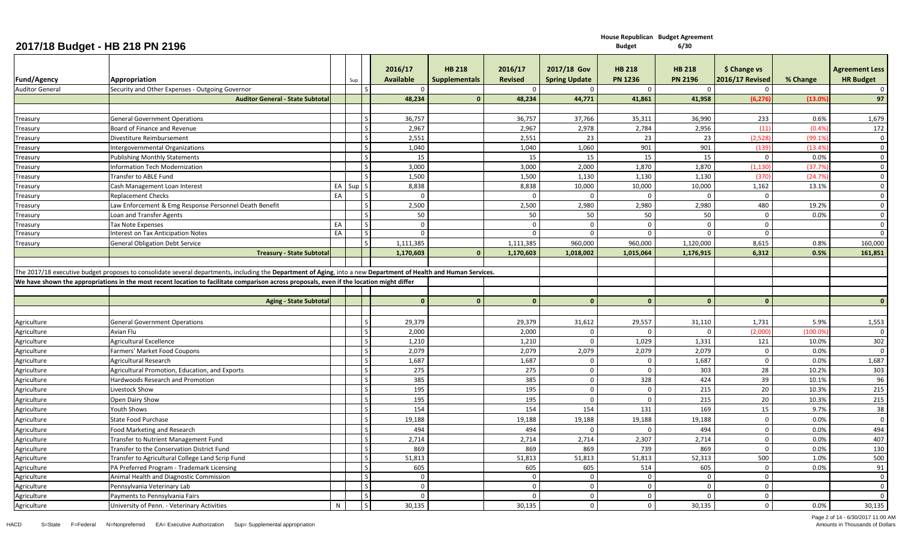|                        | ___________                                            |    |          |              |                             |                                       |                           |                                     |                                 |                                 |                                        |          |                                           |
|------------------------|--------------------------------------------------------|----|----------|--------------|-----------------------------|---------------------------------------|---------------------------|-------------------------------------|---------------------------------|---------------------------------|----------------------------------------|----------|-------------------------------------------|
| <b>Fund/Agency</b>     | Appropriation                                          |    | Sup      |              | 2016/17<br><b>Available</b> | <b>HB 218</b><br><b>Supplementals</b> | 2016/17<br><b>Revised</b> | 2017/18 Gov<br><b>Spring Update</b> | <b>HB 218</b><br><b>PN 1236</b> | <b>HB 218</b><br><b>PN 2196</b> | \$ Change vs<br><b>2016/17 Revised</b> | % Change | <b>Agreement Less</b><br><b>HR Budget</b> |
| <b>Auditor General</b> | Security and Other Expenses - Outgoing Governor        |    |          |              |                             |                                       | $\Omega$                  | $\Omega$                            | $\Omega$                        | $\Omega$                        |                                        |          | $\overline{\mathbf{0}}$                   |
|                        | <b>Auditor General - State Subtotal</b>                |    |          |              | 48,234                      | $\mathbf{0}$                          | 48,234                    | 44,771                              | 41,861                          | 41,958                          | (6, 276)                               | (13.0%   | 97                                        |
|                        |                                                        |    |          |              |                             |                                       |                           |                                     |                                 |                                 |                                        |          |                                           |
| Treasury               | <b>General Government Operations</b>                   |    |          | l S          | 36,757                      |                                       | 36,757                    | 37,766                              | 35,311                          | 36,990                          | 233                                    | 0.6%     | 1,679                                     |
| Treasury               | Board of Finance and Revenue                           |    |          |              | 2,967                       |                                       | 2,967                     | 2,978                               | 2,784                           | 2,956                           | (11)                                   | (0.4%    | 172                                       |
| Treasury               | Divestiture Reimbursement                              |    |          |              | 2,551                       |                                       | 2,551                     | 23                                  | 23                              | 23                              | (2,528)                                | (99.1%   | $\overline{0}$                            |
| Treasury               | Intergovernmental Organizations                        |    |          |              | 1,040                       |                                       | 1,040                     | 1,060                               | 901                             | 901                             | (139)                                  | (13.4%   | $\overline{0}$                            |
| Treasury               | <b>Publishing Monthly Statements</b>                   |    |          |              | 15                          |                                       | 15                        | 15                                  | 15                              | 15                              | $\Omega$                               | 0.0%     | $\Omega$                                  |
| Treasury               | Information Tech Modernization                         |    |          |              | 3,000                       |                                       | 3,000                     | 2,000                               | 1,870                           | 1,870                           | (1, 130)                               | (37.79   | $\overline{0}$                            |
| Treasury               | Transfer to ABLE Fund                                  |    |          |              | 1,500                       |                                       | 1,500                     | 1,130                               | 1,130                           | 1,130                           | (370)                                  | (24.7%   | $\Omega$                                  |
| Treasury               | Cash Management Loan Interest                          |    | EA Sup S |              | 8,838                       |                                       | 8,838                     | 10,000                              | 10,000                          | 10,000                          | 1,162                                  | 13.1%    | $\Omega$                                  |
| Treasury               | <b>Replacement Checks</b>                              | EA |          |              | $\bigcap$                   |                                       | $\Omega$                  | $\Omega$                            | $\Omega$                        |                                 | $\overline{0}$                         |          | $\overline{0}$                            |
| Treasury               | Law Enforcement & Emg Response Personnel Death Benefit |    |          |              | 2,500                       |                                       | 2,500                     | 2,980                               | 2,980                           | 2,980                           | 480                                    | 19.2%    | $\Omega$                                  |
| Treasury               | Loan and Transfer Agents                               |    |          |              | 50                          |                                       | 50                        | 50                                  | 50                              | 50                              | $\overline{0}$                         | 0.0%     | $\overline{0}$                            |
| Treasury               | <b>Tax Note Expenses</b>                               | EA |          |              | $\Omega$                    |                                       | $\Omega$                  | $\Omega$                            | $\Omega$                        |                                 | $\Omega$                               |          | $\Omega$                                  |
| Treasury               | Interest on Tax Anticipation Notes                     | EA |          |              | $\Omega$                    |                                       | $\Omega$                  | $\Omega$                            | $\Omega$                        |                                 | $\overline{\mathbf{0}}$                |          | $\overline{0}$                            |
| Treasury               | <b>General Obligation Debt Service</b>                 |    |          |              | 1,111,385                   |                                       | 1,111,385                 | 960.000                             | 960.000                         | 1,120,000                       | 8,615                                  | 0.8%     | 160,000                                   |
|                        | <b>Treasury - State Subtotal</b>                       |    |          |              | 1,170,603                   | $\Omega$                              | 1,170,603                 | 1,018,002                           | 1,015,064                       | 1,176,915                       | 6,312                                  | 0.5%     | 161,851                                   |
|                        | <b>Aging - State Subtotal</b>                          |    |          |              | $\mathbf{0}$                | $\mathbf{0}$                          | $\mathbf{0}$              | $\Omega$                            | $\Omega$                        | $\mathbf{0}$                    | $\Omega$                               |          | $\mathbf{0}$                              |
|                        |                                                        |    |          |              |                             |                                       |                           |                                     |                                 |                                 |                                        |          |                                           |
| Agriculture            | <b>General Government Operations</b>                   |    |          |              | 29,379                      |                                       | 29,379                    | 31,612                              | 29,557                          | 31,110                          | 1,731                                  | 5.9%     | 1,553                                     |
| Agriculture            | Avian Flu                                              |    |          |              | 2,000                       |                                       | 2,000                     | $\Omega$                            | $\Omega$                        |                                 | (2,000)                                | (100.09) | $\Omega$                                  |
| Agriculture            | <b>Agricultural Excellence</b>                         |    |          |              | 1,210                       |                                       | 1,210                     | $\Omega$                            | 1,029                           | 1,331                           | 121                                    | 10.0%    | 302                                       |
| Agriculture            | Farmers' Market Food Coupons                           |    |          |              | 2,079                       |                                       | 2,079                     | 2,079                               | 2,079                           | 2,079                           | $\Omega$                               | 0.0%     | $\overline{0}$                            |
| Agriculture            | <b>Agricultural Research</b>                           |    |          |              | 1,687                       |                                       | 1,687                     | $\overline{0}$                      | $\mathbf 0$                     | 1,687                           | $\overline{0}$                         | 0.0%     | 1,687                                     |
| Agriculture            | Agricultural Promotion, Education, and Exports         |    |          |              | 275                         |                                       | 275                       | $\Omega$                            | $\Omega$                        | 303                             | 28                                     | 10.2%    | 303                                       |
| Agriculture            | Hardwoods Research and Promotion                       |    |          |              | 385                         |                                       | 385                       | $\overline{0}$                      | 328                             | 424                             | 39                                     | 10.1%    | 96                                        |
| Agriculture            | Livestock Show                                         |    |          | $\mathsf{S}$ | 195                         |                                       | 195                       | $\mathbf 0$                         | $\overline{0}$                  | 215                             | 20                                     | 10.3%    | 215                                       |
| Agriculture            | Open Dairy Show                                        |    |          |              | 195                         |                                       | 195                       | $\overline{0}$                      | $\overline{0}$                  | 215                             | 20                                     | 10.3%    | 215                                       |
| Agriculture            | Youth Shows                                            |    |          |              | 154                         |                                       | 154                       | 154                                 | 131                             | 169                             | 15                                     | 9.7%     | 38                                        |
| Agriculture            | <b>State Food Purchase</b>                             |    |          |              | 19,188                      |                                       | 19,188                    | 19,188                              | 19,188                          | 19,188                          | $\overline{\mathbf{0}}$                | 0.0%     | $\overline{0}$                            |
| Agriculture            | Food Marketing and Research                            |    |          |              | 494                         |                                       | 494                       | - 0                                 | - 0                             | 494                             | $\overline{\mathbf{0}}$                | 0.0%     | 494                                       |
| Agriculture            | Transfer to Nutrient Management Fund                   |    |          |              | 2,714                       |                                       | 2,714                     | 2,714                               | 2,307                           | 2,714                           | $\overline{0}$                         | 0.0%     | 407                                       |
| Agriculture            | Transfer to the Conservation District Fund             |    |          |              | 869                         |                                       | 869                       | 869                                 | 739                             | 869                             | $\mathbf{0}$                           | 0.0%     | 130                                       |
| Agriculture            | Transfer to Agricultural College Land Scrip Fund       |    |          |              | 51,813                      |                                       | 51,813                    | 51,813                              | 51,813                          | 52,313                          | 500                                    | 1.0%     | 500                                       |
| Agriculture            | PA Preferred Program - Trademark Licensing             |    |          |              | 605                         |                                       | 605                       | 605                                 | 514                             | 605                             | $\Omega$                               | 0.0%     | 91                                        |
| Agriculture            | Animal Health and Diagnostic Commission                |    |          |              | $\Omega$                    |                                       | $\Omega$                  | $\Omega$                            | $\overline{0}$                  |                                 | $\Omega$                               |          | $\overline{0}$                            |
| Agriculture            | Pennsylvania Veterinary Lab                            |    |          |              | $\mathbf 0$                 |                                       | $\Omega$                  | $\Omega$                            | $\overline{0}$                  | -C                              | $\mathbf 0$                            |          | $\overline{0}$                            |
| Agriculture            | Payments to Pennsylvania Fairs                         |    |          |              | $\Omega$                    |                                       | $\Omega$                  | $\Omega$                            | $\overline{0}$                  |                                 | $\mathbf{0}$                           |          | $\Omega$                                  |
| Agriculture            | University of Penn. - Veterinary Activities            | N  |          | l s l        | 30,135                      |                                       | 30.135                    | $\overline{0}$                      | $\mathbf 0$                     | 30,135                          | $\mathbf 0$                            | 0.0%     | 30,135                                    |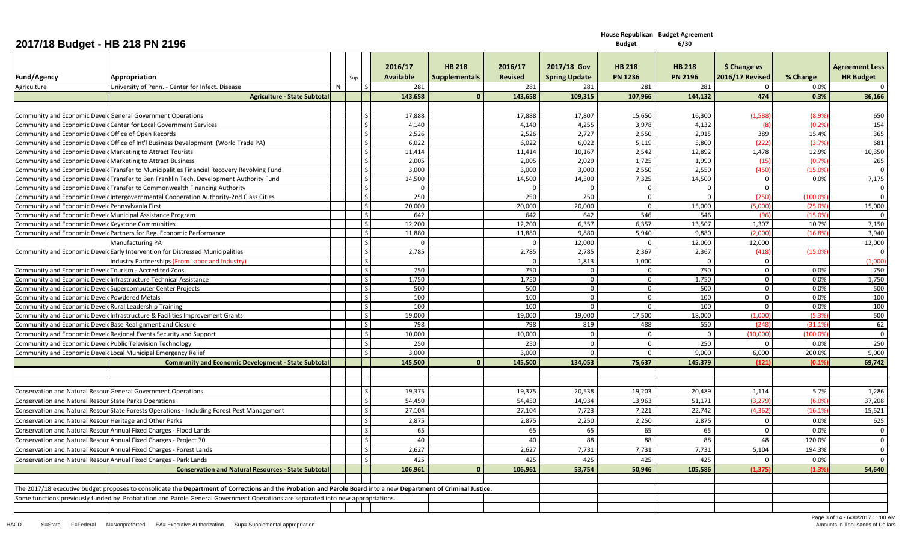|                                                             |                                                                                                                                                                  |   |     |               | 2016/17   | <b>HB 218</b>        | 2016/17        | 2017/18 Gov          | <b>HB 218</b>  | <b>HB 218</b>  | \$ Change vs           |          | <b>Agreement Less</b> |
|-------------------------------------------------------------|------------------------------------------------------------------------------------------------------------------------------------------------------------------|---|-----|---------------|-----------|----------------------|----------------|----------------------|----------------|----------------|------------------------|----------|-----------------------|
| <b>Fund/Agency</b>                                          | Appropriation                                                                                                                                                    |   |     |               | Available | <b>Supplementals</b> | <b>Revised</b> | <b>Spring Update</b> | <b>PN 1236</b> | <b>PN 2196</b> | <b>2016/17 Revised</b> | % Change | <b>HR Budget</b>      |
| Agriculture                                                 |                                                                                                                                                                  | N | Sup | $\mathcal{S}$ | 281       |                      | 281            | 281                  | 281            | 281            | $\Omega$               | 0.0%     | - 0                   |
|                                                             | University of Penn. - Center for Infect. Disease<br><b>Agriculture - State Subtota</b>                                                                           |   |     |               | 143,658   | $\mathbf{0}$         | 143,658        | 109,315              | 107,966        | 144,132        | 474                    | 0.3%     | 36,166                |
|                                                             |                                                                                                                                                                  |   |     |               |           |                      |                |                      |                |                |                        |          |                       |
|                                                             | Community and Economic Develo General Government Operations                                                                                                      |   |     |               | 17,888    |                      | 17,888         | 17,807               | 15,650         | 16,300         | (1.588)                | (8.99)   | 650                   |
|                                                             | Community and Economic Develd Center for Local Government Services                                                                                               |   |     | $\mathcal{S}$ | 4.140     |                      | 4,140          | 4,255                | 3,978          | 4,132          | - (8)                  | (0.29)   | 154                   |
| Community and Economic Develo Office of Open Records        |                                                                                                                                                                  |   |     | S             | 2,526     |                      | 2,526          | 2,727                | 2,550          | 2,915          | 389                    | 15.4%    | 365                   |
|                                                             | Community and Economic DeveloOffice of Int'l Business Development (World Trade PA)                                                                               |   |     | $\mathsf{S}$  | 6,022     |                      | 6,022          | 6,022                | 5,119          | 5,800          | (222)                  | (3.7%    | 681                   |
| Community and Economic Develd Marketing to Attract Tourists |                                                                                                                                                                  |   |     | $\mathcal{S}$ | 11,414    |                      | 11,414         | 10,167               | 2,542          | 12,892         | 1,478                  | 12.9%    | 10,350                |
| Community and Economic Develd Marketing to Attract Business |                                                                                                                                                                  |   |     | <sub>S</sub>  | 2,005     |                      | 2,005          | 2,029                | 1,725          | 1,990          | (15)                   | (0.7%    | 265                   |
|                                                             | Community and Economic Develd Transfer to Municipalities Financial Recovery Revolving Fund                                                                       |   |     | <sub>S</sub>  | 3,000     |                      | 3,000          | 3,000                | 2,550          | 2,550          | (450)                  | (15.09)  | $\overline{0}$        |
|                                                             | Community and Economic Develd Transfer to Ben Franklin Tech. Development Authority Fund                                                                          |   |     | S             | 14,500    |                      | 14,500         | 14,500               | 7,325          | 14,500         | $\overline{0}$         | 0.0%     | 7,175                 |
|                                                             | Community and Economic Develd Transfer to Commonwealth Financing Authority                                                                                       |   |     | S             |           |                      | $\Omega$       | $\Omega$             | $\mathbf 0$    | $\Omega$       | $\Omega$               |          | $\overline{0}$        |
|                                                             | Community and Economic Develd Intergovernmental Cooperation Authority-2nd Class Cities                                                                           |   |     | S             | 250       |                      | 250            | 250                  | $\mathbf 0$    | $\Omega$       | 250                    | (100.09  | $\Omega$              |
| Community and Economic Develo Pennsylvania First            |                                                                                                                                                                  |   |     | <sub>S</sub>  | 20,000    |                      | 20,000         | 20,000               | $\mathbf 0$    | 15,000         | (5,000)                | (25.09)  | 15,000                |
| Community and Economic Develd Municipal Assistance Program  |                                                                                                                                                                  |   |     | $\mathsf{S}$  | 642       |                      | 642            | 642                  | 546            | 546            | (96)                   | (15.0%   | $\Omega$              |
| Community and Economic Devel Keystone Communities           |                                                                                                                                                                  |   |     | $\mathcal{S}$ | 12,200    |                      | 12,200         | 6,357                | 6,357          | 13,507         | 1,307                  | 10.7%    | 7,150                 |
|                                                             | Community and Economic Develo Partners.for Reg. Economic Performance                                                                                             |   |     | $\mathsf{S}$  | 11,880    |                      | 11,880         | 9,880                | 5,940          | 9,880          | (2,000)                | (16.89)  | 3,940                 |
|                                                             | <b>Manufacturing PA</b>                                                                                                                                          |   |     | $\mathcal{S}$ |           |                      | $\Omega$       | 12,000               | $\Omega$       | 12,000         | 12,000                 |          | 12,000                |
|                                                             | Community and Economic Develd Early Intervention for Distressed Municipalities                                                                                   |   |     | S             | 2,785     |                      | 2,785          | 2,785                | 2,367          | 2,367          | (418)                  | (15.09)  | $\overline{0}$        |
|                                                             | Industry Partnerships (From Labor and Industry)                                                                                                                  |   |     | <sub>S</sub>  |           |                      | $\Omega$       | 1,813                | 1,000          | $\Omega$       | $\mathbf{0}$           |          | (1,000)               |
| Community and Economic Develd Tourism - Accredited Zoos     |                                                                                                                                                                  |   |     | <sub>S</sub>  | 750       |                      | 750            | $\Omega$             | $\mathbf 0$    | 750            | $\overline{0}$         | 0.0%     | 750                   |
|                                                             | Community and Economic Develd Infrastructure Technical Assistance                                                                                                |   |     | $\mathcal{S}$ | 1,750     |                      | 1,750          | $\Omega$             | $\mathbf{0}$   | 1,750          | $\overline{0}$         | 0.0%     | 1,750                 |
| Community and Economic Develd Supercomputer Center Projects |                                                                                                                                                                  |   |     | $\mathsf{S}$  | 500       |                      | 500            | $\mathbf 0$          | $\mathbf 0$    | 500            | $\overline{0}$         | 0.0%     | 500                   |
| Community and Economic Devele Powdered Metals               |                                                                                                                                                                  |   |     | $\mathsf{S}$  | 100       |                      | 100            | $\overline{0}$       | $\mathbf{0}$   | 100            | $\overline{0}$         | 0.0%     | 100                   |
| Community and Economic Devele Rural Leadership Training     |                                                                                                                                                                  |   |     | $\mathcal{S}$ | 100       |                      | 100            | $\mathbf 0$          | $\mathbf 0$    | 100            | $\mathbf{0}$           | 0.0%     | 100                   |
|                                                             | Community and Economic Develd Infrastructure & Facilities Improvement Grants                                                                                     |   |     | <sub>S</sub>  | 19,000    |                      | 19,000         | 19,000               | 17,500         | 18,000         | (1,000)                | (5.3)    | 500                   |
| Community and Economic Develo Base Realignment and Closure  |                                                                                                                                                                  |   |     | <sub>S</sub>  | 798       |                      | 798            | 819                  | 488            | 550            | (248                   | (31.19)  | 62                    |
|                                                             | Community and Economic Develo Regional Events Security and Support                                                                                               |   |     | $\mathcal{S}$ | 10,000    |                      | 10,000         | $\mathbf{0}$         | $\mathbf 0$    | $\mathbf{0}$   | (10,000)               | (100.09) | $\overline{0}$        |
| Community and Economic Develo Public Television Technology  |                                                                                                                                                                  |   |     | $\mathcal{S}$ | 250       |                      | 250            | $\mathbf{0}$         | $\mathbf 0$    | 250            | $\Omega$               | 0.0%     | 250                   |
|                                                             | Community and Economic Develd Local Municipal Emergency Relief                                                                                                   |   |     | $\mathcal{S}$ | 3,000     |                      | 3,000          | $\mathbf{0}$         | $\mathbf 0$    | 9,000          | 6,000                  | 200.0%   | 9,000                 |
|                                                             | <b>Community and Economic Development - State Subtota</b>                                                                                                        |   |     |               | 145,500   |                      | 145,500        | 134,053              | 75,637         | 145,379        | (121)                  | (0.1%    | 69,742                |
|                                                             |                                                                                                                                                                  |   |     |               |           |                      |                |                      |                |                |                        |          |                       |
|                                                             |                                                                                                                                                                  |   |     |               |           |                      |                |                      |                |                |                        |          |                       |
|                                                             | <b>Conservation and Natural Resour General Government Operations</b>                                                                                             |   |     | $\mathsf{S}$  | 19,375    |                      | 19,375         | 20,538               | 19,203         | 20.489         | 1,114                  | 5.7%     | 1,286                 |
| Conservation and Natural Resour State Parks Operations      |                                                                                                                                                                  |   |     | S             | 54,450    |                      | 54,450         | 14,934               | 13,963         | 51,171         | (3,27)                 | (6.0%    | 37,208                |
|                                                             | Conservation and Natural Resour State Forests Operations - Including Forest Pest Management                                                                      |   |     | $\mathcal{S}$ | 27,104    |                      | 27,104         | 7,723                | 7,221          | 22,742         | (4, 362)               | (16.1%   | 15,521                |
| Conservation and Natural Resour Heritage and Other Parks    |                                                                                                                                                                  |   |     |               | 2,875     |                      | 2,875          | 2,250                | 2,250          | 2,875          | $\Omega$               | 0.0%     | 625                   |
|                                                             | Conservation and Natural Resour Annual Fixed Charges - Flood Lands                                                                                               |   |     |               | 65        |                      | 65             | 65                   | 65             | 65             | $\mathbf 0$            | 0.0%     | $\overline{0}$        |
|                                                             | Conservation and Natural Resour Annual Fixed Charges - Project 70                                                                                                |   |     | $\mathsf{S}$  | 40        |                      | 40             | 88                   | 88             | 88             | 48                     | 120.0%   | $\overline{0}$        |
|                                                             | Conservation and Natural Resour Annual Fixed Charges - Forest Lands                                                                                              |   |     | $\mathcal{S}$ | 2,627     |                      | 2,627          | 7,731                | 7,731          | 7,731          | 5,104                  | 194.3%   | $\overline{0}$        |
|                                                             | Conservation and Natural Resour Annual Fixed Charges - Park Lands                                                                                                |   |     |               | 425       |                      | 425            | 425                  | 425            | 425            | $\Omega$               | 0.0%     | $\overline{0}$        |
|                                                             | <b>Conservation and Natural Resources - State Subtotal</b>                                                                                                       |   |     |               | 106,961   | $\Omega$             | 106,961        | 53,754               | 50,946         | 105,586        | (1, 375)               | (1.3%    | 54,640                |
|                                                             |                                                                                                                                                                  |   |     |               |           |                      |                |                      |                |                |                        |          |                       |
|                                                             | The 2017/18 executive budget proposes to consolidate the Department of Corrections and the Probation and Parole Board into a new Department of Criminal Justice. |   |     |               |           |                      |                |                      |                |                |                        |          |                       |
|                                                             | Some functions previously funded by Probatation and Parole General Government Operations are separated into new appropriations.                                  |   |     |               |           |                      |                |                      |                |                |                        |          |                       |
|                                                             |                                                                                                                                                                  |   |     |               |           |                      |                |                      |                |                |                        |          |                       |
|                                                             |                                                                                                                                                                  |   |     |               |           |                      |                |                      |                |                |                        |          |                       |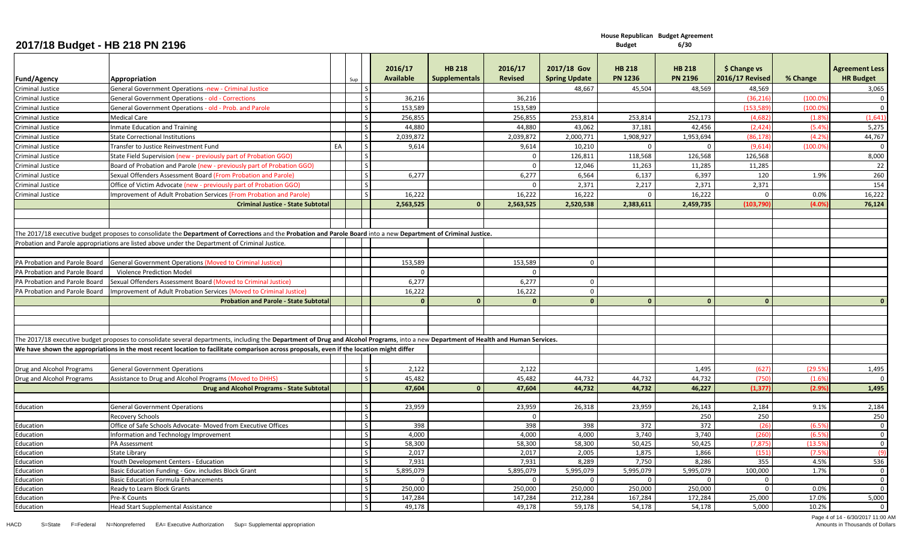|                               |                                                                                                                                                                                      |    |               |              | 2016/17             | <b>HB 218</b>        | 2016/17             | 2017/18 Gov          | <b>HB 218</b>       | <b>HB 218</b>       | \$ Change vs                 |          | <b>Agreement Less</b>          |
|-------------------------------|--------------------------------------------------------------------------------------------------------------------------------------------------------------------------------------|----|---------------|--------------|---------------------|----------------------|---------------------|----------------------|---------------------|---------------------|------------------------------|----------|--------------------------------|
| <b>Fund/Agency</b>            | Appropriation                                                                                                                                                                        |    | Sup           |              | <b>Available</b>    | <b>Supplementals</b> | <b>Revised</b>      | <b>Spring Update</b> | <b>PN 1236</b>      | <b>PN 2196</b>      | <b>2016/17 Revised</b>       | % Change | <b>HR Budget</b>               |
| <b>Criminal Justice</b>       | General Government Operations -new - Criminal Justice                                                                                                                                |    |               |              |                     |                      |                     | 48,667               | 45,504              | 48,569              | 48,569                       |          | 3,065                          |
| Criminal Justice              | <b>General Government Operations - old - Corrections</b>                                                                                                                             |    |               | S            | 36,216              |                      | 36,216              |                      |                     |                     | (36, 21)                     | (100.09  | $\overline{0}$                 |
| Criminal Justice              | General Government Operations - old - Prob. and Parole                                                                                                                               |    |               |              | 153,589             |                      | 153,589             |                      |                     |                     | 153,58                       | 100.09   | $\mathbf{0}$                   |
| Criminal Justice              | Medical Care                                                                                                                                                                         |    | <sub>S</sub>  |              | 256,855             |                      | 256,855             | 253,814              | 253,814             | 252,173             | (4.682)                      | (1.89)   | (1,641)                        |
| Criminal Justice              | nmate Education and Training                                                                                                                                                         |    | $\mathcal{S}$ |              | 44.880              |                      | 44.880              | 43,062               | 37,181              | 42.456              | (2.424)                      | (5.4%    | 5,275                          |
| Criminal Justice              | <b>State Correctional Institutions</b>                                                                                                                                               |    | <sub>S</sub>  |              | 2,039,872           |                      | 2,039,872           | 2,000,771            | 1,908,927           | 1,953,694           | (86, 178)                    | (4.2%    | 44,767                         |
| Criminal Justice              | Transfer to Justice Reinvestment Fund                                                                                                                                                | EA |               | $\mathsf S$  | 9,614               |                      | 9,614               | 10,210               | $\mathbf 0$         | $\mathbf 0$         | (9,61)                       | (100.09) | $\mathbf 0$                    |
| <b>Criminal Justice</b>       | State Field Supervision (new - previously part of Probation GGO)                                                                                                                     |    | $\mathcal{S}$ |              |                     |                      | $\mathbf{0}$        | 126,811              | 118,568             | 126,568             | 126,568                      |          | 8,000                          |
| Criminal Justice              | Board of Probation and Parole (new - previously part of Probation GGO)                                                                                                               |    | S             |              |                     |                      | $\mathbf 0$         | 12,046               | 11,263              | 11,285              | 11,285                       |          | 22                             |
| Criminal Justice              | Sexual Offenders Assessment Board (From Probation and Parole)                                                                                                                        |    |               | $\mathsf{S}$ | 6.277               |                      | 6,277               | 6,564                | 6,137               | 6,397               | 120                          | 1.9%     | 260                            |
| Criminal Justice              | Office of Victim Advocate (new - previously part of Probation GGO)                                                                                                                   |    | $\mathcal{S}$ |              |                     |                      | $\Omega$            | 2,371                | 2,217               | 2,371               | 2,371                        |          | 154                            |
| Criminal Justice              | Improvement of Adult Probation Services (From Probation and Parole)                                                                                                                  |    | $\mathcal{S}$ |              | 16,222              |                      | 16,222              | 16,222               | $\mathbf 0$         | 16,222              | $\mathbf 0$                  | 0.0%     | 16,222                         |
|                               | <b>Criminal Justice - State Subtota</b>                                                                                                                                              |    |               |              | 2,563,525           | $\Omega$             | 2,563,525           | 2,520,538            | 2,383,611           | 2,459,735           | (103, 790)                   | (4.0%    | 76,124                         |
|                               |                                                                                                                                                                                      |    |               |              |                     |                      |                     |                      |                     |                     |                              |          |                                |
|                               |                                                                                                                                                                                      |    |               |              |                     |                      |                     |                      |                     |                     |                              |          |                                |
|                               | The 2017/18 executive budget proposes to consolidate the Department of Corrections and the Probation and Parole Board into a new Department of Criminal Justice.                     |    |               |              |                     |                      |                     |                      |                     |                     |                              |          |                                |
|                               | Probation and Parole appropriations are listed above under the Department of Criminal Justice.                                                                                       |    |               |              |                     |                      |                     |                      |                     |                     |                              |          |                                |
|                               |                                                                                                                                                                                      |    |               |              |                     |                      |                     |                      |                     |                     |                              |          |                                |
| PA Probation and Parole Board | <b>General Government Operations (Moved to Criminal Justice)</b>                                                                                                                     |    |               |              | 153,589             |                      | 153,589             | $\mathbf 0$          |                     |                     |                              |          |                                |
| PA Probation and Parole Board | Violence Prediction Model                                                                                                                                                            |    |               |              | $\Omega$            |                      | $\mathbf{0}$        |                      |                     |                     |                              |          |                                |
|                               |                                                                                                                                                                                      |    |               |              | 6,277               |                      | 6,277               | $\mathbf{0}$         |                     |                     |                              |          |                                |
| PA Probation and Parole Board | Sexual Offenders Assessment Board (Moved to Criminal Justice)                                                                                                                        |    |               |              |                     |                      |                     | $\Omega$             |                     |                     |                              |          |                                |
| PA Probation and Parole Board | Improvement of Adult Probation Services (Moved to Criminal Justice)                                                                                                                  |    |               |              | 16,222              |                      | 16,222              |                      |                     |                     |                              |          |                                |
|                               | <b>Probation and Parole - State Subtotal</b>                                                                                                                                         |    |               |              |                     | $\Omega$             | $\bf{0}$            | $\mathbf{0}$         | $\Omega$            | $\mathbf{0}$        | $\Omega$                     |          | $\mathbf{0}$                   |
|                               |                                                                                                                                                                                      |    |               |              |                     |                      |                     |                      |                     |                     |                              |          |                                |
|                               |                                                                                                                                                                                      |    |               |              |                     |                      |                     |                      |                     |                     |                              |          |                                |
|                               |                                                                                                                                                                                      |    |               |              |                     |                      |                     |                      |                     |                     |                              |          |                                |
|                               | The 2017/18 executive budget proposes to consolidate several departments, including the Department of Drug and Alcohol Programs, into a new Department of Health and Human Services. |    |               |              |                     |                      |                     |                      |                     |                     |                              |          |                                |
|                               | We have shown the appropriations in the most recent location to facilitate comparison across proposals, even if the location might differ                                            |    |               |              |                     |                      |                     |                      |                     |                     |                              |          |                                |
|                               |                                                                                                                                                                                      |    |               |              |                     |                      |                     |                      |                     |                     |                              |          |                                |
| Drug and Alcohol Programs     | <b>General Government Operations</b>                                                                                                                                                 |    |               | S            | 2,122               |                      | 2,122               |                      |                     | 1,495               | (627)                        | (29.59)  | 1,495                          |
| Drug and Alcohol Programs     | Assistance to Drug and Alcohol Programs (Moved to DHHS)                                                                                                                              |    | $\varsigma$   |              | 45,482              |                      | 45,482              | 44,732               | 44,732              | 44,732              | (750                         | (1.69)   | $\overline{0}$                 |
|                               | Drug and Alcohol Programs - State Subtota                                                                                                                                            |    |               |              | 47,604              | $\Omega$             | 47,604              | 44,732               | 44,732              | 46,227              | (1, 377)                     | (2.9%    | 1,495                          |
|                               |                                                                                                                                                                                      |    |               |              |                     |                      |                     |                      |                     |                     |                              |          |                                |
| Education                     | <b>General Government Operations</b>                                                                                                                                                 |    | <sub>S</sub>  |              | 23,959              |                      | 23,959              | 26,318               | 23,959              | 26,143              | 2,184                        | 9.1%     | 2,184                          |
|                               | Recovery Schools                                                                                                                                                                     |    | <sub>S</sub>  |              |                     |                      | $\mathbf{0}$        |                      |                     | 250                 | 250                          |          | 250                            |
| Education                     | Office of Safe Schools Advocate- Moved from Executive Offices                                                                                                                        |    |               | $\mathsf{S}$ | 398                 |                      | 398                 | 398                  | 372                 | 372                 | (26)                         | (6.5)    | $\mathbf{0}$                   |
| Education                     | Information and Technology Improvement                                                                                                                                               |    | S             |              | 4,000               |                      | 4,000               | 4,000                | 3,740               | 3,740               | (260)                        | (6.5)    | $\overline{0}$                 |
| Education                     | PA Assessment                                                                                                                                                                        |    | <sub>S</sub>  |              | 58,300              |                      | 58,300              | 58,300               | 50,425              | 50,425              | (7, 87)                      | (13.5)   | $\overline{0}$                 |
| Education                     | State Library                                                                                                                                                                        |    | <sub>S</sub>  |              | 2,017               |                      | 2,017               | 2,005                | 1,875               | 1,866               | (151)                        | (7.5)    | (9)                            |
| Education                     | Youth Development Centers - Education                                                                                                                                                |    | $\mathsf{S}$  |              | 7,931               |                      | 7,931               | 8,289                | 7,750               | 8,286               | 355                          | 4.5%     | 536                            |
| Education                     | Basic Education Funding - Gov. includes Block Grant                                                                                                                                  |    | $\mathcal{S}$ | $\mathsf{S}$ | 5,895,079           |                      | 5,895,079           | 5,995,079            | 5,995,079           | 5,995,079           | 100,000                      | 1.7%     | $\overline{0}$                 |
| Education                     | <b>Basic Education Formula Enhancements</b>                                                                                                                                          |    |               | $\mathsf{S}$ | $\Omega$<br>250,000 |                      | $\Omega$<br>250,000 | $\Omega$<br>250,000  | $\Omega$<br>250,000 | $\Omega$<br>250,000 | $\mathbf{0}$<br>$\mathbf{0}$ | 0.0%     | $\overline{0}$<br>$\mathbf{0}$ |
| Education<br>Education        | Ready to Learn Block Grants<br>Pre-K Counts                                                                                                                                          |    | <sub>S</sub>  |              | 147,284             |                      | 147,284             | 212,284              | 167,284             | 172,284             | 25,000                       | 17.0%    | 5,000                          |
|                               | Head Start Supplemental Assistance                                                                                                                                                   |    |               | $\mathsf{S}$ | 49,178              |                      | 49,178              | 59,178               | 54,178              | 54,178              | 5,000                        | 10.2%    | $\mathbf 0$                    |
| Education                     |                                                                                                                                                                                      |    |               |              |                     |                      |                     |                      |                     |                     |                              |          |                                |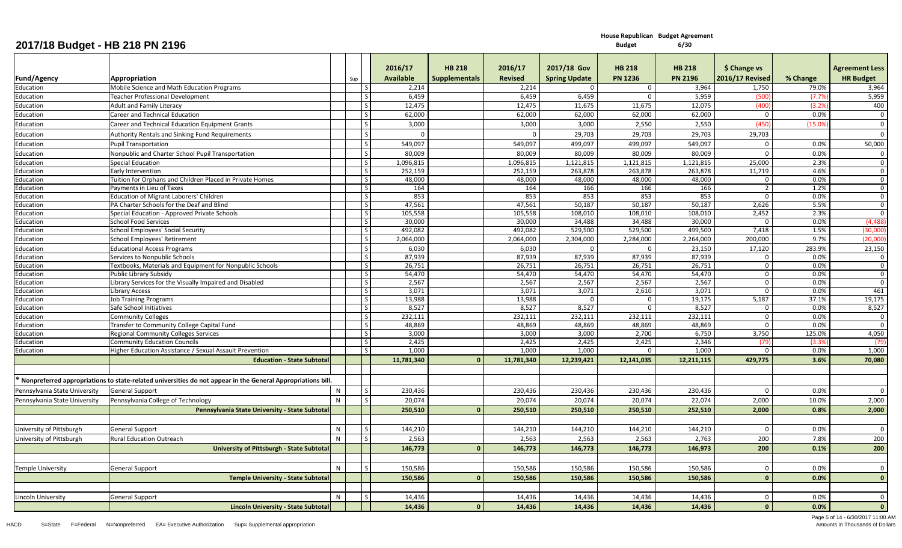**House Republican Budget Agreement 6/30**

|                               |                                                                                                             |              |     | 2016/17          | <b>HB 218</b>        | 2016/17        | 2017/18 Gov          | <b>HB 218</b>  | <b>HB 218</b>  | \$ Change vs           |          | <b>Agreement Less</b> |
|-------------------------------|-------------------------------------------------------------------------------------------------------------|--------------|-----|------------------|----------------------|----------------|----------------------|----------------|----------------|------------------------|----------|-----------------------|
| Fund/Agency                   | Appropriation                                                                                               |              | Sup | <b>Available</b> | <b>Supplementals</b> | <b>Revised</b> | <b>Spring Update</b> | <b>PN 1236</b> | <b>PN 2196</b> | <b>2016/17 Revised</b> | % Change | <b>HR Budget</b>      |
| Education                     | Mobile Science and Math Education Programs                                                                  |              |     | 2,214            |                      | 2,214          | $\Omega$             | $\mathbf 0$    | 3,964          | 1,750                  | 79.0%    | 3,964                 |
| Education                     | Teacher Professional Development                                                                            |              |     | 6,459            |                      | 6,459          | 6,459                | $\mathbf{0}$   | 5,959          | (500                   | (7.7)    | 5,959                 |
| Education                     | <b>Adult and Family Literacy</b>                                                                            |              |     | 12,475           |                      | 12,475         | 11,675               | 11,675         | 12,075         | (400)                  | (3.2)    | 400                   |
| Education                     | Career and Technical Education                                                                              |              |     | 62,000           |                      | 62,000         | 62,000               | 62,000         | 62,000         | $\mathbf 0$            | 0.0%     | $\mathbf 0$           |
| Education                     | Career and Technical Education Equipment Grants                                                             |              |     | 3,000            |                      | 3,000          | 3,000                | 2,550          | 2,550          | (450)                  | (15.0%   | $\overline{0}$        |
| Education                     | <b>Authority Rentals and Sinking Fund Requirements</b>                                                      |              |     |                  |                      | $\Omega$       | 29,703               | 29,703         | 29,703         | 29,703                 |          | $\Omega$              |
| Education                     | <b>Pupil Transportation</b>                                                                                 |              |     | 549.097          |                      | 549,097        | 499,097              | 499,097        | 549,097        | $\mathbf{0}$           | 0.0%     | 50,000                |
| Education                     | Nonpublic and Charter School Pupil Transportation                                                           |              |     | 80,009           |                      | 80,009         | 80,009               | 80,009         | 80,009         | $\Omega$               | 0.0%     | $\mathbf 0$           |
| Education                     | <b>Special Education</b>                                                                                    |              |     | 1,096,815        |                      | 1,096,815      | 1,121,815            | 1,121,815      | 1,121,815      | 25,000                 | 2.3%     | $\overline{0}$        |
| Education                     | Early Intervention                                                                                          |              |     | 252,159          |                      | 252,159        | 263,878              | 263,878        | 263,878        | 11,719                 | 4.6%     | $\overline{0}$        |
| Education                     | Tuition for Orphans and Children Placed in Private Homes                                                    |              |     | 48,000           |                      | 48.000         | 48.000               | 48.000         | 48.000         | $\mathbf 0$            | 0.0%     | $\overline{0}$        |
| Education                     | Payments in Lieu of Taxes                                                                                   |              |     | 164              |                      | 164            | 166                  | 166            | 166            | $\overline{2}$         | 1.2%     | $\Omega$              |
| Education                     | <b>Education of Migrant Laborers' Children</b>                                                              |              |     | 853              |                      | 853            | 853                  | 853            | 853            | $\mathbf 0$            | 0.0%     | $\mathbf 0$           |
| Education                     | PA Charter Schools for the Deaf and Blind                                                                   |              |     | 47,561           |                      | 47,561         | 50,187               | 50,187         | 50,187         | 2,626                  | 5.5%     | $\overline{0}$        |
| Education                     | Special Education - Approved Private Schools                                                                |              |     | 105,558          |                      | 105,558        | 108,010              | 108,010        | 108,010        | 2,452                  | 2.3%     | $\overline{0}$        |
| Education                     | <b>School Food Services</b>                                                                                 |              |     | 30,000           |                      | 30,000         | 34,488               | 34,488         | 30,000         | $\Omega$               | 0.0%     | (4, 488)              |
| Education                     | School Employees' Social Security                                                                           |              |     | 492,082          |                      | 492,082        | 529,500              | 529,500        | 499,500        | 7,418                  | 1.5%     | (30,000)              |
| Education                     | School Employees' Retirement                                                                                |              |     | 2,064,000        |                      | 2,064,000      | 2,304,000            | 2,284,000      | 2,264,000      | 200,000                | 9.7%     | (20,000)              |
| Education                     | <b>Educational Access Programs</b>                                                                          |              |     | 6,030            |                      | 6.030          | $\Omega$             | $\Omega$       | 23,150         | 17,120                 | 283.9%   | 23,150                |
| Education                     | Services to Nonpublic Schools                                                                               |              |     | 87,939           |                      | 87,939         | 87,939               | 87,939         | 87,939         | $\Omega$               | 0.0%     | $\overline{0}$        |
| Education                     | Textbooks, Materials and Equipment for Nonpublic Schools                                                    |              |     | 26,751           |                      | 26,751         | 26,751               | 26,751         | 26,751         | $\mathbf{0}$           | 0.0%     | $\overline{0}$        |
| Education                     | Public Library Subsidy                                                                                      |              |     | 54,470           |                      | 54,470         | 54,470               | 54,470         | 54,470         | $\overline{0}$         | 0.0%     | $\Omega$              |
| Education                     | Library Services for the Visually Impaired and Disabled                                                     |              |     | 2,567            |                      | 2,567          | 2,567                | 2,567          | 2,567          | $\mathbf{0}$           | 0.0%     | $\overline{0}$        |
| Education                     | Library Access                                                                                              |              |     | 3,071            |                      | 3,071          | 3,071                | 2,610          | 3,071          | $\mathbf{0}$           | 0.0%     | 461                   |
| Education                     | <b>Job Training Programs</b>                                                                                |              |     | 13,988           |                      | 13,988         | $\Omega$             | $\Omega$       | 19,175         | 5,187                  | 37.1%    | 19,175                |
| Education                     | Safe School Initiatives                                                                                     |              |     | 8,527            |                      | 8,527          | 8,527                | $\Omega$       | 8,527          | $\mathbf{0}$           | 0.0%     | 8,527                 |
| Education                     | Community Colleges                                                                                          |              |     | 232,111          |                      | 232,111        | 232,111              | 232,111        | 232,111        | $\mathbf 0$            | 0.0%     | $\mathbf 0$           |
| Education                     | <b>Transfer to Community College Capital Fund</b>                                                           |              |     | 48,869           |                      | 48,869         | 48,869               | 48,869         | 48,869         | $\mathbf{0}$           | 0.0%     | $\mathbf{0}$          |
| Education                     | Regional Community Colleges Services                                                                        |              |     | 3,000            |                      | 3,000          | 3,000                | 2,700          | 6,750          | 3,750                  | 125.0%   | 4,050                 |
| Education                     | <b>Community Education Councils</b>                                                                         |              |     | 2,425            |                      | 2,425          | 2,425                | 2,425          | 2,346          | (79                    | (3.3)    | (79                   |
| Education                     | Higher Education Assistance / Sexual Assault Prevention                                                     |              |     | 1,000            |                      | 1.000          | 1.000                | $\Omega$       | 1.000          | $\Omega$               | 0.0%     | 1,000                 |
|                               | <b>Education - State Subtotal</b>                                                                           |              |     | 11,781,340       | $\Omega$             | 11,781,340     | 12,239,421           | 12,141,035     | 12,211,115     | 429,775                | 3.6%     | 70,080                |
|                               |                                                                                                             |              |     |                  |                      |                |                      |                |                |                        |          |                       |
|                               | Nonpreferred appropriations to state-related universities do not appear in the General Appropriations bill. |              |     |                  |                      |                |                      |                |                |                        |          |                       |
| Pennsylvania State University | <b>General Support</b>                                                                                      | N            |     | 230.436          |                      | 230.436        | 230.436              | 230.436        | 230.436        | $\Omega$               | 0.0%     | $\Omega$              |
| Pennsylvania State University | Pennsylvania College of Technology                                                                          | N            |     | 20,074           |                      | 20,074         | 20,074               | 20,074         | 22,074         | 2,000                  | 10.0%    | 2,000                 |
|                               | Pennsylvania State University - State Subtotal                                                              |              |     | 250,510          | $\Omega$             | 250,510        | 250,510              | 250,510        | 252,510        | 2,000                  | 0.8%     | 2,000                 |
|                               |                                                                                                             |              |     |                  |                      |                |                      |                |                |                        |          |                       |
| University of Pittsburgh      | <b>General Support</b>                                                                                      | N            |     | 144,210          |                      | 144,210        | 144,210              | 144,210        | 144,210        | $\mathbf{0}$           | 0.0%     | $\overline{0}$        |
|                               |                                                                                                             | N            |     |                  |                      |                |                      |                |                | 200                    | 7.8%     | 200                   |
| University of Pittsburgh      | <b>Rural Education Outreach</b>                                                                             |              |     | 2,563            |                      | 2,563          | 2,563                | 2,563          | 2,763          |                        |          |                       |
|                               | <b>University of Pittsburgh - State Subtotal</b>                                                            |              |     | 146,773          | $\mathbf{0}$         | 146,773        | 146,773              | 146,773        | 146,973        | 200                    | 0.1%     | 200                   |
|                               |                                                                                                             |              |     |                  |                      |                |                      |                |                |                        |          |                       |
| <b>Temple University</b>      | <b>General Support</b>                                                                                      | $\mathsf{N}$ |     | 150,586          |                      | 150,586        | 150,586              | 150,586        | 150,586        | $\mathbf{0}$           | 0.0%     | $\overline{0}$        |
|                               | <b>Temple University - State Subtotal</b>                                                                   |              |     | 150,580          | $\Omega$             | 150,586        | 150,586              | 150,586        | 150,586        | $\mathbf{0}$           | 0.0%     | $\mathbf{0}$          |
|                               |                                                                                                             |              |     |                  |                      |                |                      |                |                |                        |          |                       |
| Lincoln University            | <b>General Support</b>                                                                                      | $\mathsf{N}$ |     | 14,436           |                      | 14,436         | 14,436               | 14,436         | 14,436         | $\Omega$               | 0.0%     | $\mathbf{0}$          |
|                               | Lincoln University - State Subtotal                                                                         |              |     | 14,436           | $\Omega$             | 14,436         | 14,436               | 14,436         | 14,436         | $\mathbf{0}$           | 0.0%     | $\mathbf{0}$          |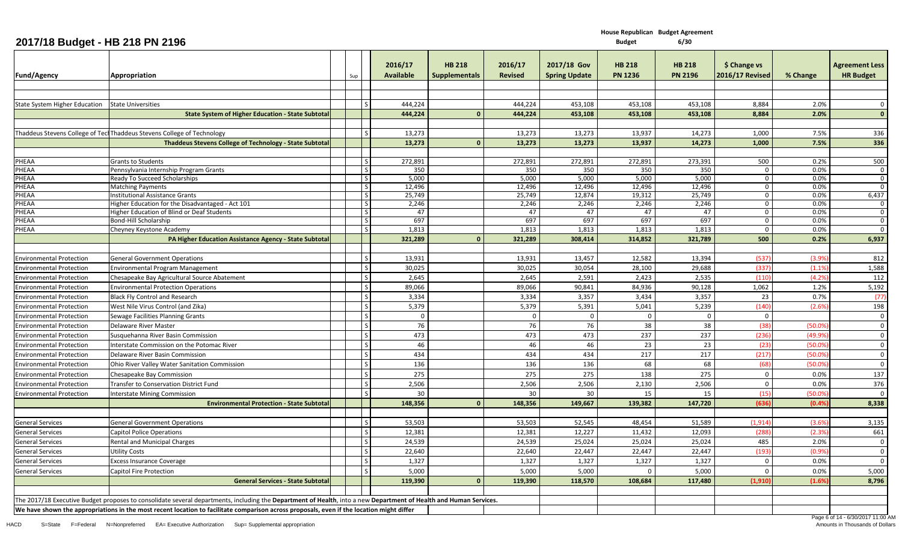| 2017/18 Budget - HB 218 PN 2196      |                                                                                                                                                                   |                           |                      |                                |                           |                                     | <b>Budget</b>                   | 6/30                            |                                        |              |                                           |
|--------------------------------------|-------------------------------------------------------------------------------------------------------------------------------------------------------------------|---------------------------|----------------------|--------------------------------|---------------------------|-------------------------------------|---------------------------------|---------------------------------|----------------------------------------|--------------|-------------------------------------------|
| <b>Fund/Agency</b>                   | Appropriation                                                                                                                                                     | Sup                       | 2016/17<br>Available | <b>HB 218</b><br>Supplementals | 2016/17<br><b>Revised</b> | 2017/18 Gov<br><b>Spring Update</b> | <b>HB 218</b><br><b>PN 1236</b> | <b>HB 218</b><br><b>PN 2196</b> | \$ Change vs<br><b>2016/17 Revised</b> | % Change     | <b>Agreement Less</b><br><b>HR Budget</b> |
|                                      |                                                                                                                                                                   |                           |                      |                                |                           |                                     |                                 |                                 |                                        |              |                                           |
|                                      |                                                                                                                                                                   |                           |                      |                                |                           |                                     |                                 |                                 |                                        |              |                                           |
| <b>State System Higher Education</b> | <b>State Universities</b>                                                                                                                                         | l s                       | 444,224              |                                | 444,224                   | 453,108                             | 453,108                         | 453,108                         | 8,884                                  | 2.0%         | $\Omega$                                  |
|                                      | <b>State System of Higher Education - State Subtota</b>                                                                                                           |                           | 444,224              |                                | 444,224                   | 453,108                             | 453,108                         | 453,108                         | 8,884                                  | 2.0%         | $\mathbf{0}$                              |
|                                      |                                                                                                                                                                   |                           |                      |                                |                           |                                     |                                 |                                 |                                        |              |                                           |
|                                      | Thaddeus Stevens College of Tecl Thaddeus Stevens College of Technology                                                                                           | $\mathsf{S}$              | 13,273               |                                | 13,273                    | 13,273                              | 13,937                          | 14,273                          | 1,000                                  | 7.5%         | 336                                       |
|                                      | <b>Thaddeus Stevens College of Technology - State Subtotal</b>                                                                                                    |                           | 13,273               | - 0                            | 13,273                    | 13,273                              | 13,937                          | 14,273                          | 1,000                                  | 7.5%         | 336                                       |
|                                      |                                                                                                                                                                   |                           |                      |                                |                           |                                     |                                 |                                 |                                        |              |                                           |
| PHEAA                                | <b>Grants to Students</b>                                                                                                                                         | S                         | 272,891              |                                | 272,891                   | 272,891                             | 272,891                         | 273,391                         | 500                                    | 0.2%         | 500                                       |
| PHEAA<br>PHEAA                       | Pennsylvania Internship Program Grants<br>Ready To Succeed Scholarships                                                                                           | $\mathsf{S}$<br>$\vert$ S | 350<br>5,000         |                                | 350<br>5,000              | 350<br>5,000                        | 350<br>5,000                    | 350<br>5,000                    | $\mathbf 0$<br>$\mathbf 0$             | 0.0%<br>0.0% | $\Omega$<br>$\Omega$                      |
| PHEAA                                | <b>Matching Payments</b>                                                                                                                                          | S                         | 12,496               |                                | 12,496                    | 12,496                              | 12,496                          | 12,496                          | $\mathbf 0$                            | 0.0%         | $\Omega$                                  |
| PHEAA                                | Institutional Assistance Grants                                                                                                                                   | $\vert$ S                 | 25,749               |                                | 25,749                    | 12,874                              | 19,312                          | 25,749                          | $\mathbf{0}$                           | 0.0%         | 6,437                                     |
| <b>HEAA</b>                          | Higher Education for the Disadvantaged - Act 101                                                                                                                  | S                         | 2,246                |                                | 2,246                     | 2,246                               | 2,246                           | 2,246                           | $\Omega$                               | 0.0%         | $\Omega$                                  |
| 'HEAA                                | Higher Education of Blind or Deaf Students                                                                                                                        | S                         | 47                   |                                | 47                        | 47                                  | 47                              | 47                              | 0                                      | 0.0%         | $\mathbf 0$                               |
| PHEAA                                | Bond-Hill Scholarship                                                                                                                                             | S                         | 697                  |                                | 697                       | 697                                 | 697                             | 697                             | $\mathbf{0}$                           | 0.0%         | $\Omega$                                  |
| PHEAA                                | Cheyney Keystone Academy                                                                                                                                          | l S                       | 1,813                |                                | 1,813                     | 1,813                               | 1,813                           | 1,813                           | $\mathbf 0$                            | 0.0%         | $\Omega$                                  |
|                                      | PA Higher Education Assistance Agency - State Subtota                                                                                                             |                           | 321,289              |                                | 321,289                   | 308,414                             | 314,852                         | 321,789                         | 500                                    | 0.2%         | 6,937                                     |
| <b>Environmental Protection</b>      | <b>General Government Operations</b>                                                                                                                              | S                         | 13,931               |                                | 13,931                    | 13,457                              | 12,582                          | 13,394                          | (537)                                  | (3.9%        | 812                                       |
|                                      |                                                                                                                                                                   | S                         |                      |                                | 30,025                    |                                     | 28,100                          |                                 |                                        |              |                                           |
| <b>Environmental Protection</b>      | <b>Environmental Program Management</b>                                                                                                                           |                           | 30,025               |                                |                           | 30,054                              |                                 | 29,688                          | (337)                                  | (1.1%        | 1,588                                     |
| <b>Environmental Protection</b>      | Chesapeake Bay Agricultural Source Abatement                                                                                                                      | S                         | 2,645                |                                | 2,645                     | 2,591                               | 2,423                           | 2,535                           | (110)                                  | (4.2%        | 112                                       |
| <b>Environmental Protection</b>      | <b>Environmental Protection Operations</b>                                                                                                                        |                           | 89,066               |                                | 89,066                    | 90,841                              | 84,936                          | 90,128                          | 1,062                                  | 1.2%         | 5,192                                     |
| <b>Environmental Protection</b>      | <b>Black Fly Control and Research</b>                                                                                                                             | S                         | 3,334                |                                | 3,334                     | 3,357                               | 3,434                           | 3,357                           | 23                                     | 0.7%         | (77)                                      |
| <b>Environmental Protection</b>      | West Nile Virus Control (and Zika)                                                                                                                                | S                         | 5,379                |                                | 5,379                     | 5,391                               | 5,041                           | 5,239                           | (140)                                  | (2.6%        | 198                                       |
| <b>Environmental Protection</b>      | Sewage Facilities Planning Grants                                                                                                                                 | S                         | $\Omega$             |                                | 0                         | $\mathbf 0$                         | $\Omega$                        | $\mathbf 0$                     | $\mathbf{0}$                           |              | $\Omega$                                  |
| <b>Environmental Protection</b>      | Delaware River Master                                                                                                                                             | S                         | 76                   |                                | 76                        | 76                                  | 38                              | 38                              | (38)                                   | (50.0%       | $\Omega$                                  |
| <b>Environmental Protection</b>      | Susquehanna River Basin Commission                                                                                                                                | l s                       | 473                  |                                | 473                       | 473                                 | 237                             | 237                             | (236)                                  | (49.99)      | $\Omega$                                  |
| <b>Environmental Protection</b>      | Interstate Commission on the Potomac River                                                                                                                        | $\mathsf S$               | 46                   |                                | 46                        | 46                                  | 23                              | 23                              | (23)                                   | (50.09)      | $\mathbf 0$                               |
| <b>Environmental Protection</b>      | Delaware River Basin Commission                                                                                                                                   | S                         | 434                  |                                | 434                       | 434                                 | 217                             | 217                             | (217)                                  | (50.09       | $\mathbf 0$                               |
| <b>Environmental Protection</b>      | Ohio River Valley Water Sanitation Commission                                                                                                                     | S                         | 136                  |                                | 136                       | 136                                 | 68                              | 68                              | (68)                                   | (50.0%       | $\Omega$                                  |
| <b>Environmental Protection</b>      | Chesapeake Bay Commission                                                                                                                                         | S                         | 275                  |                                | 275                       | 275                                 | 138                             | 275                             | $\mathbf 0$                            | 0.0%         | 137                                       |
| <b>Environmental Protection</b>      | Transfer to Conservation District Fund                                                                                                                            | l s                       | 2,506                |                                | 2,506                     | 2,506                               | 2,130                           | 2,506                           | $\Omega$                               | 0.0%         | 376                                       |
| <b>Environmental Protection</b>      | <b>Interstate Mining Commission</b>                                                                                                                               | S                         | 30                   |                                | 30                        | 30                                  | 15                              | 15                              | (15)                                   | (50.0%       | $\Omega$                                  |
|                                      | <b>Environmental Protection - State Subtota</b>                                                                                                                   |                           | 148,356              |                                | 148,356                   | 149,667                             | 139,382                         | 147,720                         | (636                                   | (0.4%        | 8,338                                     |
| <b>General Services</b>              | <b>General Government Operations</b>                                                                                                                              |                           | 53,503               |                                | 53,503                    | 52,545                              | 48,454                          | 51,589                          | (1, 914)                               | (3.6%        | 3,135                                     |
| <b>General Services</b>              | <b>Capitol Police Operations</b>                                                                                                                                  | S                         | 12,381               |                                | 12,381                    | 12,227                              | 11,432                          | 12,093                          | (288)                                  | (2.3%        | 661                                       |
| <b>General Services</b>              | Rental and Municipal Charges                                                                                                                                      | S                         | 24,539               |                                | 24,539                    | 25,024                              | 25,024                          | 25,024                          | 485                                    | 2.0%         | $\mathbf 0$                               |
| <b>General Services</b>              | <b>Utility Costs</b>                                                                                                                                              | $\overline{\mathsf{S}}$   | 22,640               |                                | 22,640                    | 22,447                              | 22,447                          | 22,447                          | (193)                                  | (0.9%        | $\mathbf 0$                               |
| <b>General Services</b>              | <b>Excess Insurance Coverage</b>                                                                                                                                  | S                         | 1,327                |                                | 1,327                     | 1,327                               | 1,327                           | 1,327                           | $\Omega$                               | 0.0%         | $\Omega$                                  |
| <b>General Services</b>              | Capitol Fire Protection                                                                                                                                           | S                         | 5,000                |                                | 5,000                     | 5,000                               |                                 | 5,000                           | 0                                      | 0.0%         | 5,000                                     |
|                                      | <b>General Services - State Subtotal</b>                                                                                                                          |                           | 119,390              |                                | 119,390                   | 118,570                             | 108,684                         | 117,480                         | (1, 910)                               | (1.6%        | 8,796                                     |
|                                      |                                                                                                                                                                   |                           |                      |                                |                           |                                     |                                 |                                 |                                        |              |                                           |
|                                      | The 2017/18 Executive Budget proposes to consolidate several departments, including the Department of Health, into a new Department of Health and Human Services. |                           |                      |                                |                           |                                     |                                 |                                 |                                        |              |                                           |
|                                      | We have shown the appropriations in the most recent location to facilitate comparison across proposals, even if the location might differ                         |                           |                      |                                |                           |                                     |                                 |                                 |                                        |              |                                           |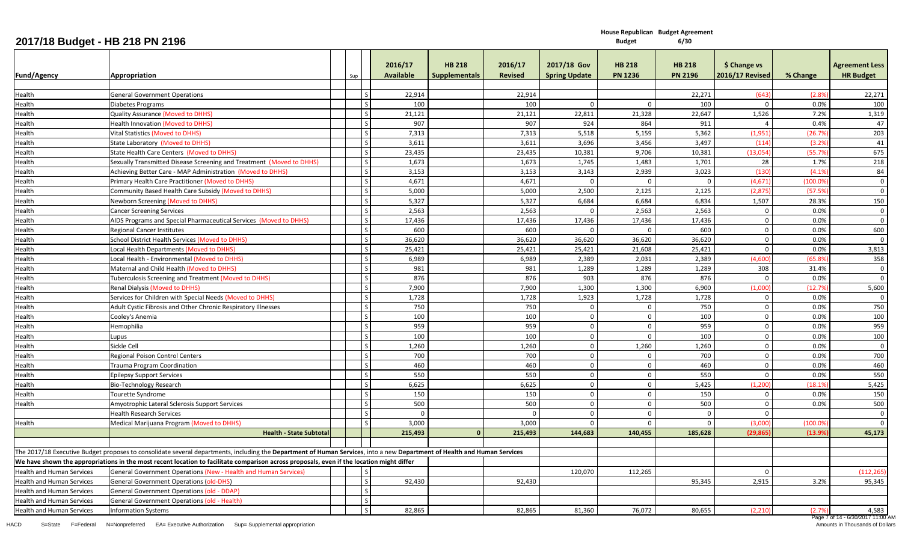**House Republican Budget Agreement**

**6/30**

| <b>Fund/Agency</b>               | Appropriation                                                                                                                                                            | Sup |                          | 2016/17<br><b>Available</b> | <b>HB 218</b><br><b>Supplementals</b> | 2016/17<br><b>Revised</b> | 2017/18 Gov<br><b>Spring Update</b> | <b>HB 218</b><br><b>PN 1236</b> | <b>HB 218</b><br><b>PN 2196</b> | \$ Change vs<br><b>2016/17 Revised</b> | % Change | <b>Agreement Less</b><br><b>HR Budget</b> |
|----------------------------------|--------------------------------------------------------------------------------------------------------------------------------------------------------------------------|-----|--------------------------|-----------------------------|---------------------------------------|---------------------------|-------------------------------------|---------------------------------|---------------------------------|----------------------------------------|----------|-------------------------------------------|
|                                  |                                                                                                                                                                          |     |                          |                             |                                       |                           |                                     |                                 |                                 |                                        |          |                                           |
| Health                           | <b>General Government Operations</b>                                                                                                                                     |     | l S                      | 22,914                      |                                       | 22,914                    |                                     |                                 | 22,271                          | (643)                                  | (2.8%    | 22,271                                    |
| Health                           | <b>Diabetes Programs</b>                                                                                                                                                 |     | l s                      | 100                         |                                       | 100                       | $\Omega$                            | $\Omega$                        | 100                             | $\Omega$                               | 0.0%     | 100                                       |
| Health                           | Quality Assurance (Moved to DHHS)                                                                                                                                        |     | l s                      | 21,121                      |                                       | 21,121                    | 22,811                              | 21,328                          | 22,647                          | 1,526                                  | 7.2%     | 1,319                                     |
| Health                           | <b>Health Innovation (Moved to DHHS)</b>                                                                                                                                 |     | l s                      | 907                         |                                       | 907                       | 924                                 | 864                             | 911                             | $\overline{4}$                         | 0.4%     | 47                                        |
| Health                           | <b>Vital Statistics (Moved to DHHS)</b>                                                                                                                                  |     | l <sub>S</sub>           | 7,313                       |                                       | 7,313                     | 5,518                               | 5,159                           | 5,362                           | (1,951)                                | (26.7%   | 203                                       |
| Health                           | <b>State Laboratory (Moved to DHHS)</b>                                                                                                                                  |     | $\overline{\mathbf{s}}$  | 3,611                       |                                       | 3,611                     | 3,696                               | 3,456                           | 3,497                           | (114)                                  | (3.2%    | 41                                        |
| Health                           | State Health Care Centers (Moved to DHHS)                                                                                                                                |     | l s                      | 23,435                      |                                       | 23,435                    | 10,381                              | 9,706                           | 10,381                          | (13,054)                               | (55.7%   | 675                                       |
| Health                           | Sexually Transmitted Disease Screening and Treatment (Moved to DHHS)                                                                                                     |     | l s                      | 1,673                       |                                       | 1,673                     | 1.745                               | 1,483                           | 1,701                           | 28                                     | 1.7%     | 218                                       |
| Health                           | Achieving Better Care - MAP Administration (Moved to DHHS)                                                                                                               |     | l S                      | 3,153                       |                                       | 3,153                     | 3,143                               | 2,939                           | 3,023                           | (130)                                  | (4.1%    | 84                                        |
| łealth                           | Primary Health Care Practitioner (Moved to DHHS)                                                                                                                         |     | $\overline{\mathsf{s}}$  | 4,671                       |                                       | 4,671                     | $\Omega$                            | $\Omega$                        |                                 | (4, 671)                               | (100.09  | $\mathbf 0$                               |
| lealth                           | Community Based Health Care Subsidy (Moved to DHHS)                                                                                                                      |     | $\overline{\mathsf{s}}$  | 5,000                       |                                       | 5,000                     | 2,500                               | 2,125                           | 2,125                           | (2,875)                                | (57.59   | $\mathbf 0$                               |
| Health                           | Newborn Screening (Moved to DHHS)                                                                                                                                        |     | l s                      | 5,327                       |                                       | 5,327                     | 6,684                               | 6,684                           | 6,834                           | 1,507                                  | 28.3%    | 150                                       |
| Health                           | <b>Cancer Screening Services</b>                                                                                                                                         |     | $\overline{\phantom{a}}$ | 2,563                       |                                       | 2,563                     | $\Omega$                            | 2,563                           | 2,563                           | $\mathbf{0}$                           | 0.0%     | $\mathbf{0}$                              |
| Health                           | AIDS Programs and Special Pharmaceutical Services (Moved to DHHS)                                                                                                        |     | ١s                       | 17,436                      |                                       | 17,436                    | 17,436                              | 17,436                          | 17,436                          | $\Omega$                               | 0.0%     | $\Omega$                                  |
| Health                           | <b>Regional Cancer Institutes</b>                                                                                                                                        |     | $\overline{\mathsf{s}}$  | 600                         |                                       | 600                       | $\mathbf 0$                         | $\mathbf 0$                     | 600                             | $\mathbf 0$                            | 0.0%     | 600                                       |
| Health                           | School District Health Services (Moved to DHHS)                                                                                                                          |     | l s                      | 36,620                      |                                       | 36,620                    | 36,620                              | 36,620                          | 36,620                          | $\Omega$                               | 0.0%     | $\mathbf 0$                               |
| Health                           | Local Health Departments (Moved to DHHS)                                                                                                                                 |     | l s                      | 25,421                      |                                       | 25,421                    | 25,421                              | 21,608                          | 25,421                          | $\mathbf 0$                            | 0.0%     | 3,813                                     |
| lealth                           | Local Health - Environmental (Moved to DHHS)                                                                                                                             |     | $\overline{\mathsf{s}}$  | 6,989                       |                                       | 6,989                     | 2,389                               | 2,031                           | 2,389                           | (4,600)                                | 65.89    | 358                                       |
| łealth                           | Maternal and Child Health (Moved to DHHS)                                                                                                                                |     | l s                      | 981                         |                                       | 981                       | 1,289                               | 1,289                           | 1,289                           | 308                                    | 31.4%    | $\mathbf 0$                               |
| Health                           | Tuberculosis Screening and Treatment (Moved to DHHS)                                                                                                                     |     | $\overline{\mathsf{s}}$  | 876                         |                                       | 876                       | 903                                 | 876                             | 876                             | $\Omega$                               | 0.0%     | $\mathbf 0$                               |
| Health                           | Renal Dialysis (Moved to DHHS)                                                                                                                                           |     | $\overline{\mathbf{S}}$  | 7,900                       |                                       | 7,900                     | 1,300                               | 1,300                           | 6,900                           | (1,000)                                | (12.7%   | 5,600                                     |
| Health                           | Services for Children with Special Needs (Moved to DHHS)                                                                                                                 |     | l s                      | 1,728                       |                                       | 1,728                     | 1,923                               | 1,728                           | 1,728                           | $\mathbf{0}$                           | 0.0%     | $\mathbf 0$                               |
| Health                           | Adult Cystic Fibrosis and Other Chronic Respiratory Illnesses                                                                                                            |     | l s                      | 750                         |                                       | 750                       | $\Omega$                            | $\Omega$                        | 750                             | $\Omega$                               | 0.0%     | 750                                       |
| Health                           | Cooley's Anemia                                                                                                                                                          |     | $\overline{\mathsf{s}}$  | 100                         |                                       | 100                       | $\mathbf 0$                         | $\mathbf 0$                     | 100                             | $\mathbf 0$                            | 0.0%     | 100                                       |
| Health                           | Hemophilia                                                                                                                                                               |     | l s                      | 959                         |                                       | 959                       | $\mathbf 0$                         | $\mathbf 0$                     | 959                             | $\mathbf 0$                            | 0.0%     | 959                                       |
| Health                           | Lupus                                                                                                                                                                    |     | l <sub>S</sub>           | 100                         |                                       | 100                       | $\mathbf 0$                         | $\Omega$                        | 100                             | $\mathbf 0$                            | 0.0%     | 100                                       |
| lealth                           | Sickle Cell                                                                                                                                                              |     | l s                      | 1,260                       |                                       | 1,260                     | $\Omega$                            | 1,260                           | 1,260                           | $\Omega$                               | 0.0%     | $\mathbf 0$                               |
| Health                           | <b>Regional Poison Control Centers</b>                                                                                                                                   |     | l s                      | 700                         |                                       | 700                       | $\mathbf 0$                         | $\mathbf 0$                     | 700                             | $\mathbf{0}$                           | 0.0%     | 700                                       |
| Health                           | <b>Trauma Program Coordination</b>                                                                                                                                       |     | $\overline{\mathsf{S}}$  | 460                         |                                       | 460                       | $\mathbf 0$                         | $\mathbf 0$                     | 460                             | $\Omega$                               | 0.0%     | 460                                       |
| Health                           | <b>Epilepsy Support Services</b>                                                                                                                                         |     | $\overline{\mathsf{s}}$  | 550                         |                                       | 550                       | $\mathbf 0$                         | $\mathbf 0$                     | 550                             | $\Omega$                               | 0.0%     | 550                                       |
| Health                           | Bio-Technology Research                                                                                                                                                  |     | $\overline{\phantom{a}}$ | 6,625                       |                                       | 6,625                     | $\Omega$                            | $\Omega$                        | 5,425                           | (1,200)                                | (18.1%   | 5,425                                     |
| Health                           | <b>Tourette Syndrome</b>                                                                                                                                                 |     | l s                      | 150                         |                                       | 150                       | $\mathbf 0$                         | $\mathbf 0$                     | 150                             | $\Omega$                               | 0.0%     | 150                                       |
| Health                           | Amyotrophic Lateral Sclerosis Support Services                                                                                                                           |     | $\overline{\mathsf{S}}$  | 500                         |                                       | 500                       | $\mathbf 0$                         | $\mathbf 0$                     | 500                             | $\Omega$                               | 0.0%     | 500                                       |
|                                  | <b>Health Research Services</b>                                                                                                                                          |     | $\sim$                   | $\Omega$                    |                                       | $\Omega$                  | $\Omega$                            | $\mathbf 0$                     | $\Omega$                        | $\Omega$                               |          | $\mathbf{0}$                              |
| Health                           | Medical Marijuana Program (Moved to DHHS)                                                                                                                                |     | l <sub>S</sub>           | 3,000                       |                                       | 3.000                     | $\Omega$                            | $\Omega$                        | $\Omega$                        | (3.000)                                | (100.09) | $\overline{0}$                            |
|                                  | <b>Health - State Subtotal</b>                                                                                                                                           |     |                          | 215,493                     |                                       | 215,493                   | 144,683                             | 140,455                         | 185,628                         | (29, 865)                              | (13.9%   | 45,173                                    |
|                                  | The 2017/18 Executive Budget proposes to consolidate several departments, including the Department of Human Services, into a new Department of Health and Human Services |     |                          |                             |                                       |                           |                                     |                                 |                                 |                                        |          |                                           |
|                                  | We have shown the appropriations in the most recent location to facilitate comparison across proposals, even if the location might differ                                |     |                          |                             |                                       |                           |                                     |                                 |                                 |                                        |          |                                           |
| <b>Health and Human Services</b> | General Government Operations (New - Health and Human Services)                                                                                                          |     | Ιs                       |                             |                                       |                           | 120,070                             | 112,265                         |                                 | $\Omega$                               |          | (112, 265)                                |
| <b>Health and Human Services</b> | <b>General Government Operations (old-DHS)</b>                                                                                                                           |     | l s                      | 92,430                      |                                       | 92.430                    |                                     |                                 | 95.345                          | 2,915                                  | 3.2%     | 95,345                                    |
| <b>Health and Human Services</b> | General Government Operations (old - DDAP)                                                                                                                               |     | $\overline{\mathsf{s}}$  |                             |                                       |                           |                                     |                                 |                                 |                                        |          |                                           |
| <b>Health and Human Services</b> | General Government Operations (old - Health)                                                                                                                             |     | l s                      |                             |                                       |                           |                                     |                                 |                                 |                                        |          |                                           |
| <b>Health and Human Services</b> | <b>Information Systems</b>                                                                                                                                               |     | l s                      | 82,865                      |                                       | 82,865                    | 81,360                              | 76,072                          | 80,655                          | (2,210)                                | (2.7%    | 4,583                                     |
|                                  |                                                                                                                                                                          |     |                          |                             |                                       |                           |                                     |                                 |                                 |                                        |          |                                           |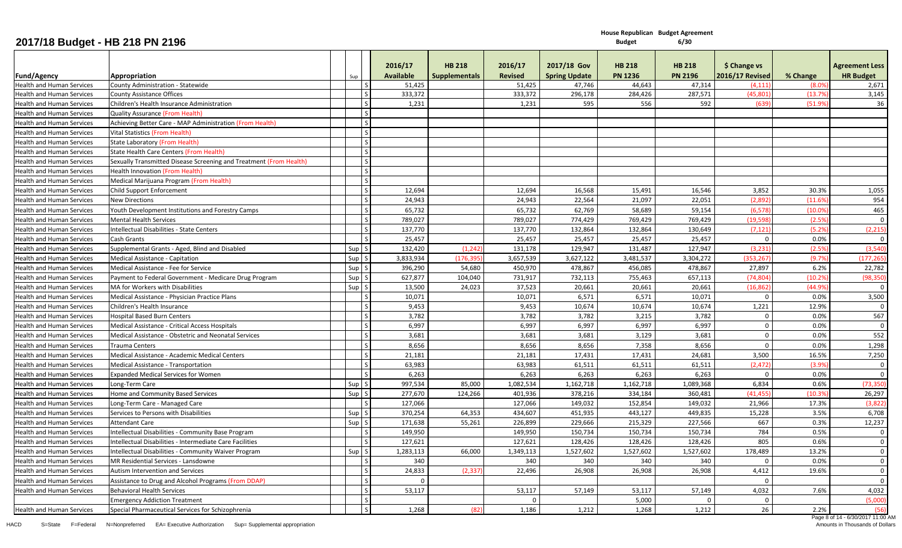**House Republican Budget Agreement 6/30**

| Fund/Agency                      | Appropriation                                                      | Sup          | 2016/17<br><b>Available</b> | <b>HB 218</b><br><b>Supplementals</b> | 2016/17<br><b>Revised</b> | 2017/18 Gov<br><b>Spring Update</b> | <b>HB 218</b><br><b>PN 1236</b> | <b>HB 218</b><br><b>PN 2196</b> | \$ Change vs<br><b>2016/17 Revised</b> | % Change | <b>Agreement Less</b><br><b>HR Budget</b> |
|----------------------------------|--------------------------------------------------------------------|--------------|-----------------------------|---------------------------------------|---------------------------|-------------------------------------|---------------------------------|---------------------------------|----------------------------------------|----------|-------------------------------------------|
| <b>Health and Human Services</b> | County Administration - Statewide                                  |              | 51,425                      |                                       | 51,425                    | 47,746                              | 44,643                          | 47,314                          | (4, 111)                               | (8.09)   | 2,671                                     |
| <b>Health and Human Services</b> | <b>County Assistance Offices</b>                                   | l s          | 333,372                     |                                       | 333,372                   | 296,178                             | 284,426                         | 287,571                         | (45, 801)                              | (13.79   | 3,145                                     |
| <b>Health and Human Services</b> | Children's Health Insurance Administration                         |              | 1,231                       |                                       | 1,231                     | 595                                 | 556                             | 592                             | (639)                                  | (51.9%   | 36                                        |
| <b>Health and Human Services</b> | <b>Quality Assurance (From Health)</b>                             | l s          |                             |                                       |                           |                                     |                                 |                                 |                                        |          |                                           |
| <b>Health and Human Services</b> | Achieving Better Care - MAP Administration (From Health)           | l s          |                             |                                       |                           |                                     |                                 |                                 |                                        |          |                                           |
| <b>Health and Human Services</b> | Vital Statistics (From Health)                                     | $\mathsf{S}$ |                             |                                       |                           |                                     |                                 |                                 |                                        |          |                                           |
| <b>Health and Human Services</b> | State Laboratory (From Health)                                     | l s          |                             |                                       |                           |                                     |                                 |                                 |                                        |          |                                           |
| <b>Health and Human Services</b> | State Health Care Centers (From Health)                            | l s          |                             |                                       |                           |                                     |                                 |                                 |                                        |          |                                           |
| <b>Health and Human Services</b> | Sexually Transmitted Disease Screening and Treatment (From Health) | l s          |                             |                                       |                           |                                     |                                 |                                 |                                        |          |                                           |
| <b>Health and Human Services</b> | Health Innovation (From Health)                                    | $\mathsf{S}$ |                             |                                       |                           |                                     |                                 |                                 |                                        |          |                                           |
| <b>Health and Human Services</b> | Medical Marijuana Program (From Health)                            |              |                             |                                       |                           |                                     |                                 |                                 |                                        |          |                                           |
| <b>Health and Human Services</b> | Child Support Enforcement                                          | ΙS           | 12,694                      |                                       | 12,694                    | 16,568                              | 15,491                          | 16,546                          | 3,852                                  | 30.3%    | 1,055                                     |
| <b>Health and Human Services</b> | <b>New Directions</b>                                              | l S          | 24,943                      |                                       | 24,943                    | 22,564                              | 21,097                          | 22,051                          | (2,892)                                | (11.6%   | 954                                       |
| <b>Health and Human Services</b> | Youth Development Institutions and Forestry Camps                  | l s          | 65,732                      |                                       | 65,732                    | 62,769                              | 58,689                          | 59,154                          | (6, 578)                               | (10.09)  | 465                                       |
| <b>Health and Human Services</b> | <b>Mental Health Services</b>                                      | l s          | 789,027                     |                                       | 789,027                   | 774,429                             | 769,429                         | 769,429                         | (19,598)                               | (2.5%    | $\overline{0}$                            |
| <b>Health and Human Services</b> | Intellectual Disabilities - State Centers                          |              | 137,770                     |                                       | 137,770                   | 132,864                             | 132,864                         | 130,649                         | (7, 121)                               | (5.2%    | (2, 215)                                  |
| Health and Human Services        | Cash Grants                                                        |              | 25,457                      |                                       | 25,457                    | 25,457                              | 25,457                          | 25,457                          | $\Omega$                               | 0.0%     | $\Omega$                                  |
| <b>Health and Human Services</b> | Supplemental Grants - Aged, Blind and Disabled                     | Sup S        | 132,420                     | (1.242)                               | 131,178                   | 129,947                             | 131.487                         | 127.947                         | (3.231)                                | (2.5%    | (3.540)                                   |
| <b>Health and Human Services</b> | Medical Assistance - Capitation                                    | Sup S        | 3,833,934                   | (176, 395)                            | 3,657,539                 | 3,627,122                           | 3,481,537                       | 3,304,272                       | (353, 267)                             | (9.7%    | (177, 265)                                |
| <b>Health and Human Services</b> | Medical Assistance - Fee for Service                               | Sup S        | 396,290                     | 54,680                                | 450,970                   | 478,867                             | 456,085                         | 478,867                         | 27,897                                 | 6.2%     | 22,782                                    |
| <b>Health and Human Services</b> | Payment to Federal Government - Medicare Drug Program              | Sup S        | 627,877                     | 104,040                               | 731,917                   | 732,113                             | 755,463                         | 657,113                         | (74.804)                               | (10.29)  | (98, 350)                                 |
| <b>Health and Human Services</b> | MA for Workers with Disabilities                                   | Sup S        | 13,500                      | 24,023                                | 37,523                    | 20,661                              | 20,661                          | 20,661                          | (16, 862)                              | (44.9%   | $\overline{0}$                            |
| <b>Health and Human Services</b> | Medical Assistance - Physician Practice Plans                      |              | 10,071                      |                                       | 10,071                    | 6,571                               | 6,571                           | 10,071                          | $\Omega$                               | 0.0%     | 3,500                                     |
| Health and Human Services        | Children's Health Insurance                                        |              | 9,453                       |                                       | 9,453                     | 10,674                              | 10,674                          | 10,674                          | 1,221                                  | 12.9%    | $\Omega$                                  |
| <b>Health and Human Services</b> | <b>Hospital Based Burn Centers</b>                                 |              | 3,782                       |                                       | 3,782                     | 3,782                               | 3,215                           | 3,782                           | $\mathbf 0$                            | 0.0%     | 567                                       |
| <b>Health and Human Services</b> | Medical Assistance - Critical Access Hospitals                     | ΙS           | 6,997                       |                                       | 6,997                     | 6,997                               | 6,997                           | 6,997                           | $\mathbf{0}$                           | 0.0%     | $\overline{0}$                            |
| Health and Human Services        | Medical Assistance - Obstetric and Neonatal Services               |              | 3,681                       |                                       | 3,681                     | 3,681                               | 3,129                           | 3,681                           | $\mathbf 0$                            | 0.0%     | 552                                       |
| <b>Health and Human Services</b> | <b>Trauma Centers</b>                                              | l S          | 8,656                       |                                       | 8,656                     | 8,656                               | 7,358                           | 8,656                           | $\overline{0}$                         | 0.0%     | 1,298                                     |
| <b>Health and Human Services</b> | Medical Assistance - Academic Medical Centers                      |              | 21,181                      |                                       | 21,181                    | 17,431                              | 17,431                          | 24,681                          | 3,500                                  | 16.5%    | 7,250                                     |
| <b>Health and Human Services</b> | Medical Assistance - Transportation                                |              | 63,983                      |                                       | 63,983                    | 61,511                              | 61,511                          | 61,511                          | (2, 472)                               | (3.9%    | $\mathbf 0$                               |
| <b>Health and Human Services</b> | <b>Expanded Medical Services for Women</b>                         |              | 6,263                       |                                       | 6,263                     | 6,263                               | 6,263                           | 6,263                           | $\Omega$                               | 0.0%     | $\Omega$                                  |
| <b>Health and Human Services</b> | Long-Term Care                                                     | Sup S        | 997,534                     | 85,000                                | 1,082,534                 | 1,162,718                           | 1,162,718                       | 1,089,368                       | 6,834                                  | 0.6%     | (73, 350)                                 |
| <b>Health and Human Services</b> | Home and Community Based Services                                  | Sup S        | 277,670                     | 124,266                               | 401,936                   | 378,216                             | 334,184                         | 360,481                         | (41.455)                               | (10.3%   | 26,297                                    |
| <b>Health and Human Services</b> | Long-Term Care - Managed Care                                      |              | 127,066                     |                                       | 127,066                   | 149,032                             | 152,854                         | 149,032                         | 21,966                                 | 17.3%    | (3,822)                                   |
| <b>Health and Human Services</b> | Services to Persons with Disabilities                              | Sup S        | 370,254                     | 64,353                                | 434,607                   | 451,935                             | 443,127                         | 449,835                         | 15,228                                 | 3.5%     | 6,708                                     |
| <b>Health and Human Services</b> | <b>Attendant Care</b>                                              | Sup S        | 171,638                     | 55,261                                | 226,899                   | 229,666                             | 215,329                         | 227,566                         | 667                                    | 0.3%     | 12,237                                    |
| <b>Health and Human Services</b> | Intellectual Disabilities - Community Base Program                 |              | 149,950                     |                                       | 149,950                   | 150,734                             | 150,734                         | 150,734                         | 784                                    | 0.5%     | $\mathbf 0$                               |
| <b>Health and Human Services</b> | Intellectual Disabilities - Intermediate Care Facilities           |              | 127,621                     |                                       | 127,621                   | 128,426                             | 128,426                         | 128,426                         | 805                                    | 0.6%     | $\Omega$                                  |
| <b>Health and Human Services</b> | Intellectual Disabilities - Community Waiver Program               | Sup S        | 1,283,113                   | 66,000                                | 1,349,113                 | 1,527,602                           | 1,527,602                       | 1,527,602                       | 178,489                                | 13.2%    | $\mathbf{0}$                              |
| <b>Health and Human Services</b> | MR Residential Services - Lansdowne                                |              | 340                         |                                       | 340                       | 340                                 | 340                             | 340                             | $\Omega$                               | 0.0%     | $\mathbf 0$                               |
| <b>Health and Human Services</b> | Autism Intervention and Services                                   | l s          | 24,833                      | (2, 337)                              | 22.496                    | 26,908                              | 26,908                          | 26,908                          | 4,412                                  | 19.6%    | $\Omega$                                  |
| <b>Health and Human Services</b> | Assistance to Drug and Alcohol Programs (From DDAP)                |              | $\mathbf{0}$                |                                       |                           |                                     |                                 |                                 | $\mathbf{0}$                           |          | $\overline{0}$                            |
| <b>Health and Human Services</b> | <b>Behavioral Health Services</b>                                  | l s          | 53,117                      |                                       | 53,117                    | 57,149                              | 53,117                          | 57,149                          | 4,032                                  | 7.6%     | 4,032                                     |
|                                  | <b>Emergency Addiction Treatment</b>                               | l s          |                             |                                       | $\Omega$                  |                                     | 5,000                           |                                 | $\Omega$                               |          | (5,000)                                   |
| <b>Health and Human Services</b> | Special Pharmaceutical Services for Schizophrenia                  |              | 1,268                       | (82                                   | 1,186                     | 1,212                               | 1,268                           | 1,212                           | 26                                     | 2.2%     | (56)                                      |
|                                  |                                                                    |              |                             |                                       |                           |                                     |                                 |                                 |                                        |          |                                           |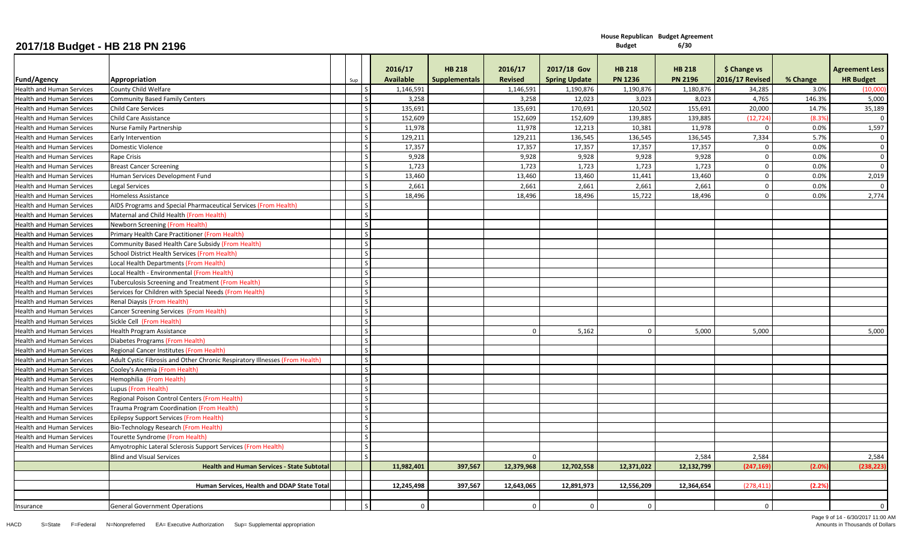|                                  |                                                                             |     | 2016/17          | <b>HB 218</b>        | 2016/17        | 2017/18 Gov          | <b>HB 218</b>  | <b>HB 218</b>  | \$ Change vs           |          | <b>Agreement Less</b>   |
|----------------------------------|-----------------------------------------------------------------------------|-----|------------------|----------------------|----------------|----------------------|----------------|----------------|------------------------|----------|-------------------------|
| <b>Fund/Agency</b>               | Appropriation                                                               | Sup | <b>Available</b> | <b>Supplementals</b> | <b>Revised</b> | <b>Spring Update</b> | <b>PN 1236</b> | <b>PN 2196</b> | <b>2016/17 Revised</b> | % Change | <b>HR Budget</b>        |
| <b>Health and Human Services</b> | County Child Welfare                                                        |     | 1,146,591        |                      | 1,146,591      | 1,190,876            | 1,190,876      | 1,180,876      | 34,285                 | 3.0%     | (10,000)                |
| <b>Health and Human Services</b> | <b>Community Based Family Centers</b>                                       |     | 3,258            |                      | 3,258          | 12,023               | 3,023          | 8,023          | 4,765                  | 146.3%   | 5,000                   |
| <b>Health and Human Services</b> | <b>Child Care Services</b>                                                  |     | 135,691          |                      | 135,691        | 170,691              | 120,502        | 155,691        | 20,000                 | 14.7%    | 35,189                  |
| <b>Health and Human Services</b> | <b>Child Care Assistance</b>                                                |     | 152,609          |                      | 152,609        | 152,609              | 139,885        | 139,885        | (12, 724)              | (8.3%    | $\mathbf 0$             |
| <b>Health and Human Services</b> | Nurse Family Partnership                                                    |     | 11,978           |                      | 11,978         | 12,213               | 10,381         | 11,978         | $\Omega$               | 0.0%     | 1,597                   |
| <b>Health and Human Services</b> | Early Intervention                                                          |     | 129,211          |                      | 129,211        | 136,545              | 136,545        | 136,545        | 7,334                  | 5.7%     | $\overline{0}$          |
| <b>Health and Human Services</b> | Domestic Violence                                                           |     | 17,357           |                      | 17,357         | 17,357               | 17,357         | 17,357         | $\Omega$               | 0.0%     | $\mathbf 0$             |
| <b>Health and Human Services</b> | Rape Crisis                                                                 |     | 9,928            |                      | 9,928          | 9,928                | 9,928          | 9,928          | $\overline{0}$         | 0.0%     | $\overline{0}$          |
| <b>Health and Human Services</b> | <b>Breast Cancer Screening</b>                                              |     | 1,723            |                      | 1,723          | 1,723                | 1,723          | 1,723          | $\mathbf 0$            | 0.0%     | $\overline{\mathbf{0}}$ |
| <b>Health and Human Services</b> | Human Services Development Fund                                             |     | 13,460           |                      | 13,460         | 13,460               | 11,441         | 13,460         | $\mathbf 0$            | 0.0%     | 2,019                   |
| <b>Health and Human Services</b> | <b>Legal Services</b>                                                       |     | 2,661            |                      | 2,661          | 2,661                | 2,661          | 2,661          | $\mathbf 0$            | 0.0%     | $\mathbf{0}$            |
| <b>Health and Human Services</b> | Homeless Assistance                                                         |     | 18,496           |                      | 18,496         | 18,496               | 15,722         | 18,496         | $\mathbf 0$            | 0.0%     | 2,774                   |
| <b>Health and Human Services</b> | AIDS Programs and Special Pharmaceutical Services (From Health)             |     |                  |                      |                |                      |                |                |                        |          |                         |
| <b>Health and Human Services</b> | Maternal and Child Health (From Health)                                     |     |                  |                      |                |                      |                |                |                        |          |                         |
| <b>Health and Human Services</b> | Newborn Screening (From Health)                                             |     |                  |                      |                |                      |                |                |                        |          |                         |
| <b>Health and Human Services</b> | Primary Health Care Practitioner (From Health)                              |     |                  |                      |                |                      |                |                |                        |          |                         |
| <b>Health and Human Services</b> | Community Based Health Care Subsidy (From Health)                           |     |                  |                      |                |                      |                |                |                        |          |                         |
| <b>Health and Human Services</b> | School District Health Services (From Health)                               |     |                  |                      |                |                      |                |                |                        |          |                         |
| <b>Health and Human Services</b> | Local Health Departments (From Health)                                      |     |                  |                      |                |                      |                |                |                        |          |                         |
| <b>Health and Human Services</b> | Local Health - Environmental (From Health)                                  |     |                  |                      |                |                      |                |                |                        |          |                         |
| <b>Health and Human Services</b> | Tuberculosis Screening and Treatment (From Health)                          |     |                  |                      |                |                      |                |                |                        |          |                         |
| <b>Health and Human Services</b> | Services for Children with Special Needs (From Health)                      |     |                  |                      |                |                      |                |                |                        |          |                         |
| <b>Health and Human Services</b> | <b>Renal Diaysis (From Health)</b>                                          |     |                  |                      |                |                      |                |                |                        |          |                         |
| <b>Health and Human Services</b> | Cancer Screening Services (From Health)                                     |     |                  |                      |                |                      |                |                |                        |          |                         |
| <b>Health and Human Services</b> | Sickle Cell (From Health)                                                   |     |                  |                      |                |                      |                |                |                        |          |                         |
| <b>Health and Human Services</b> | <b>Health Program Assistance</b>                                            |     |                  |                      |                | 5,162                | $\Omega$       | 5,000          | 5,000                  |          | 5,000                   |
| <b>Health and Human Services</b> | Diabetes Programs (From Health)                                             |     |                  |                      |                |                      |                |                |                        |          |                         |
| <b>Health and Human Services</b> | Regional Cancer Institutes (From Health)                                    |     |                  |                      |                |                      |                |                |                        |          |                         |
| <b>Health and Human Services</b> | Adult Cystic Fibrosis and Other Chronic Respiratory Illnesses (From Health) |     |                  |                      |                |                      |                |                |                        |          |                         |
| <b>Health and Human Services</b> | Cooley's Anemia (From Health)                                               |     |                  |                      |                |                      |                |                |                        |          |                         |
| <b>Health and Human Services</b> | Hemophilia (From Health)                                                    |     |                  |                      |                |                      |                |                |                        |          |                         |
| <b>Health and Human Services</b> | Lupus (From Health)                                                         |     |                  |                      |                |                      |                |                |                        |          |                         |
| <b>Health and Human Services</b> | Regional Poison Control Centers (From Health)                               |     |                  |                      |                |                      |                |                |                        |          |                         |
| <b>Health and Human Services</b> | Trauma Program Coordination (From Health)                                   |     |                  |                      |                |                      |                |                |                        |          |                         |
| <b>Health and Human Services</b> | <b>Epilepsy Support Services (From Health)</b>                              |     |                  |                      |                |                      |                |                |                        |          |                         |
| <b>Health and Human Services</b> | Bio-Technology Research (From Health)                                       |     |                  |                      |                |                      |                |                |                        |          |                         |
| <b>Health and Human Services</b> | Tourette Syndrome (From Health)                                             |     |                  |                      |                |                      |                |                |                        |          |                         |
| <b>Health and Human Services</b> | Amyotrophic Lateral Sclerosis Support Services (From Health)                |     |                  |                      |                |                      |                |                |                        |          |                         |
|                                  | <b>Blind and Visual Services</b>                                            |     |                  |                      | $\Omega$       |                      |                | 2,584          | 2,584                  |          | 2,584                   |
|                                  | <b>Health and Human Services - State Subtotal</b>                           |     | 11,982,401       | 397,567              | 12,379,968     | 12,702,558           | 12,371,022     | 12,132,799     | (247, 169)             | (2.0%    | (238, 223)              |
|                                  |                                                                             |     |                  | 397,567              |                |                      |                |                |                        |          |                         |
|                                  | Human Services, Health and DDAP State Tota                                  |     | 12,245,498       |                      | 12,643,065     | 12,891,973           | 12,556,209     | 12,364,654     | (278, 411)             | (2.2%    |                         |
|                                  |                                                                             |     | $\Omega$         |                      |                |                      |                |                |                        |          | $\Omega$                |
| Insurance                        | <b>General Government Operations</b>                                        |     |                  |                      | $\overline{0}$ | $\Omega$             | $\Omega$       |                | $\Omega$               |          |                         |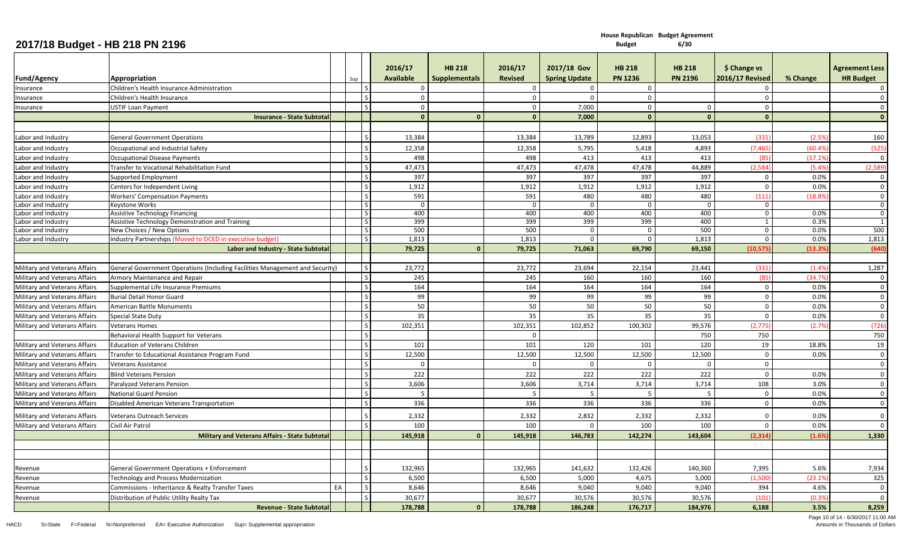**House Republican Budget Agreement**

**Budget 6/30**

|                               |                                                                              |    |     |                               | 2016/17          | <b>HB 218</b>        | 2016/17        | 2017/18 Gov          | <b>HB 218</b>  | <b>HB 218</b>  | \$ Change vs           |          | <b>Agreement Less</b> |
|-------------------------------|------------------------------------------------------------------------------|----|-----|-------------------------------|------------------|----------------------|----------------|----------------------|----------------|----------------|------------------------|----------|-----------------------|
| Fund/Agency                   | Appropriation                                                                |    | Sup |                               | <b>Available</b> | <b>Supplementals</b> | <b>Revised</b> | <b>Spring Update</b> | <b>PN 1236</b> | <b>PN 2196</b> | <b>2016/17 Revised</b> | % Change | <b>HR Budget</b>      |
| Insurance                     | Children's Health Insurance Administration                                   |    |     | $\overline{\mathsf{S}}$       | $\Omega$         |                      | $\mathbf 0$    | $\mathbf 0$          | $\overline{0}$ |                | $\mathbf 0$            |          | $\overline{0}$        |
| Insurance                     | Children's Health Insurance                                                  |    |     | $\mathsf{S}$                  | $\mathbf 0$      |                      | $\mathbf 0$    | $\mathbf{0}$         | $\mathbf 0$    |                | $\mathbf 0$            |          | $\overline{0}$        |
| Insurance                     | <b>USTIF Loan Payment</b>                                                    |    |     | $\mathcal{S}$                 | $\mathbf 0$      |                      | $\mathbf 0$    | 7,000                | $\mathbf 0$    | $\mathbf 0$    | $\mathbf 0$            |          | $\mathbf 0$           |
|                               | <b>Insurance - State Subtotal</b>                                            |    |     |                               | $\Omega$         | $\Omega$             | $\mathbf{0}$   | 7,000                | $\mathbf{0}$   | $\Omega$       | $\mathbf{0}$           |          | $\mathbf{0}$          |
|                               |                                                                              |    |     |                               |                  |                      |                |                      |                |                |                        |          |                       |
| Labor and Industry            | <b>General Government Operations</b>                                         |    |     |                               | 13,384           |                      | 13,384         | 13,789               | 12,893         | 13,053         | (331)                  | (2.5%    | 160                   |
| Labor and Industry            | Occupational and Industrial Safety                                           |    |     |                               | 12,358           |                      | 12,358         | 5,795                | 5,418          | 4,893          | (7, 465)               | (60.4%   | (525)                 |
| Labor and Industry            | <b>Occupational Disease Payments</b>                                         |    |     | $\overline{\mathsf{s}}$       | 498              |                      | 498            | 413                  | 413            | 413            | <b>185</b>             | (17.1%   | $\overline{0}$        |
| Labor and Industry            | Transfer to Vocational Rehabilitation Fund                                   |    |     | $\mathsf{S}$                  | 47,473           |                      | 47,473         | 47,478               | 47,478         | 44,889         | (2,584)                | (5.4%    | (2,589)               |
| Labor and Industry            | Supported Employment                                                         |    |     | $\overline{\phantom{a}}$      | 397              |                      | 397            | 397                  | 397            | 397            | $\mathbf 0$            | 0.0%     | $\overline{0}$        |
| Labor and Industry            | Centers for Independent Living                                               |    |     | $\overline{\mathsf{s}}$       | 1,912            |                      | 1,912          | 1,912                | 1,912          | 1,912          | $\mathbf{0}$           | 0.0%     | $\overline{0}$        |
| Labor and Industry            | <b>Workers' Compensation Payments</b>                                        |    |     | $\mathsf{S}$                  | 591              |                      | 591            | 480                  | 480            | 480            | (111)                  | (18.89)  | $\overline{0}$        |
| Labor and Industry            | Keystone Works                                                               |    |     | $\vert$ S                     | $\Omega$         |                      | $\mathbf 0$    | $\overline{0}$       | $\mathbf 0$    | $\mathbf 0$    | $\mathbf 0$            |          | $\mathbf 0$           |
| Labor and Industry            | Assistive Technology Financing                                               |    |     | $\vert$ S                     | 400              |                      | 400            | 400                  | 400            | 400            | $\mathbf 0$            | 0.0%     | $\mathbf 0$           |
| Labor and Industry            | Assistive Technology Demonstration and Training                              |    |     | S                             | 399              |                      | 399            | 399                  | 399            | 400            | 1                      | 0.3%     | 1                     |
| Labor and Industry            | New Choices / New Options                                                    |    |     | S                             | 500              |                      | 500            | 0                    | 0              | 500            | $\mathbf{0}$           | 0.0%     | 500                   |
| Labor and Industry            | Industry Partnerships (Moved to DCED in executive budget                     |    |     | $\vert$ S                     | 1,813            |                      | 1,813          | $\Omega$             | $\Omega$       | 1,813          | $\Omega$               | 0.0%     | 1,813                 |
|                               | Labor and Industry - State Subtota                                           |    |     |                               | 79,725           | $\Omega$             | 79,725         | 71,063               | 69,790         | 69,150         | (10, 575)              | (13.39)  | (640)                 |
|                               |                                                                              |    |     |                               |                  |                      |                |                      |                |                |                        |          |                       |
| Military and Veterans Affairs | General Government Operations (Including Facilities Management and Security) |    |     | S<br>$\mathsf{S}$             | 23,772           |                      | 23,772         | 23,694               | 22,154         | 23,441         | (331)                  | (1.4%    | 1,287                 |
| Military and Veterans Affairs | Armory Maintenance and Repair                                                |    |     |                               | 245              |                      | 245            | 160                  | 160            | 160            | (85)                   | (34.7%   | $\mathbf 0$           |
| Military and Veterans Affairs | Supplemental Life Insurance Premiums                                         |    |     | l s<br>$\mathsf{S}$           | 164              |                      | 164            | 164                  | 164            | 164            | $\mathbf 0$            | 0.0%     | $\mathbf 0$           |
| Military and Veterans Affairs | <b>Burial Detail Honor Guard</b>                                             |    |     |                               | 99               |                      | 99             | 99                   | 99             | 99             | $\mathbf 0$            | 0.0%     | $\overline{0}$        |
| Military and Veterans Affairs | American Battle Monuments                                                    |    |     | $\mathsf{S}$<br>$\mathcal{S}$ | 50               |                      | 50             | 50                   | 50             | 50             | $\Omega$               | 0.0%     | $\mathbf 0$           |
| Military and Veterans Affairs | <b>Special State Duty</b>                                                    |    |     |                               | 35               |                      | 35             | 35                   | 35             | 35             | $\Omega$               | 0.0%     | $\mathbf 0$           |
| Military and Veterans Affairs | <b>Veterans Homes</b>                                                        |    |     | <sub>S</sub>                  | 102,351          |                      | 102,351        | 102,852              | 100,302        | 99,576         | (2,775)                | (2.7%    | (726)                 |
|                               | Behavioral Health Support for Veterans                                       |    |     | $\mathsf{S}$                  |                  |                      | $\mathbf 0$    |                      |                | 750            | 750                    |          | 750                   |
| Military and Veterans Affairs | <b>Education of Veterans Children</b>                                        |    |     | l s                           | 101              |                      | 101            | 120                  | 101            | 120            | 19                     | 18.8%    | 19                    |
| Military and Veterans Affairs | Transfer to Educational Assistance Program Fund                              |    |     | $\mathsf{S}$                  | 12,500           |                      | 12,500         | 12,500               | 12,500         | 12,500         | $\mathbf 0$            | 0.0%     | $\overline{0}$        |
| Military and Veterans Affairs | Veterans Assistance                                                          |    |     | $\mathsf{S}$                  | $\Omega$         |                      | $\mathbf 0$    | $\Omega$             | $\Omega$       | $\mathbf 0$    | $\mathbf{0}$           |          | $\overline{0}$        |
| Military and Veterans Affairs | <b>Blind Veterans Pension</b>                                                |    |     | l s                           | 222              |                      | 222            | 222                  | 222            | 222            | $\mathbf 0$            | 0.0%     | $\mathbf 0$           |
| Military and Veterans Affairs | Paralyzed Veterans Pension                                                   |    |     |                               | 3,606            |                      | 3,606          | 3,714                | 3,714          | 3,714          | 108                    | 3.0%     | $\overline{0}$        |
| Military and Veterans Affairs | <b>National Guard Pension</b>                                                |    |     | $\overline{\mathsf{s}}$       | -5               |                      | - 5            | - 5                  | - 5            | -5             | $\mathbf 0$            | 0.0%     | $\overline{0}$        |
| Military and Veterans Affairs | Disabled American Veterans Transportation                                    |    |     | $\mathsf{S}$                  | 336              |                      | 336            | 336                  | 336            | 336            | $\Omega$               | 0.0%     | $\mathbf{0}$          |
| Military and Veterans Affairs | <b>Veterans Outreach Services</b>                                            |    |     |                               | 2,332            |                      | 2,332          | 2,832                | 2,332          | 2,332          | $\Omega$               | 0.0%     | $\overline{0}$        |
| Military and Veterans Affairs | Civil Air Patrol                                                             |    |     | $\overline{\mathsf{s}}$       | 100              |                      | 100            | $\Omega$             | 100            | 100            | $\Omega$               | 0.0%     | $\mathbf 0$           |
|                               | Military and Veterans Affairs - State Subtota                                |    |     |                               | 145,918          |                      | 145,918        | 146,783              | 142,274        | 143,604        | (2, 314)               | (1.6%    | 1,330                 |
|                               |                                                                              |    |     |                               |                  |                      |                |                      |                |                |                        |          |                       |
|                               |                                                                              |    |     |                               |                  |                      |                |                      |                |                |                        |          |                       |
| Revenue                       | General Government Operations + Enforcement                                  |    |     |                               | 132,965          |                      | 132,965        | 141,632              | 132,426        | 140,360        | 7,395                  | 5.6%     | 7,934                 |
| Revenue                       | Technology and Process Modernization                                         |    |     | l s                           | 6,500            |                      | 6,500          | 5,000                | 4,675          | 5,000          | (1,500)                | (23.1%   | 325                   |
| Revenue                       | Commissions - Inheritance & Realty Transfer Taxes                            | EA |     | $\mathsf{S}$                  | 8,646            |                      | 8,646          | 9,040                | 9,040          | 9,040          | 394                    | 4.6%     | $\overline{0}$        |
| Revenue                       | Distribution of Public Utility Realty Tax                                    |    |     | $\mathsf{S}$                  | 30,677           |                      | 30,677         | 30,576               | 30,576         | 30,576         | (101                   | (0.3%    | $\overline{0}$        |
|                               | <b>Revenue - State Subtotal</b>                                              |    |     |                               | 178,788          | $\Omega$             | 178,788        | 186,248              | 176,717        | 184,976        | 6,188                  | 3.5%     | 8,259                 |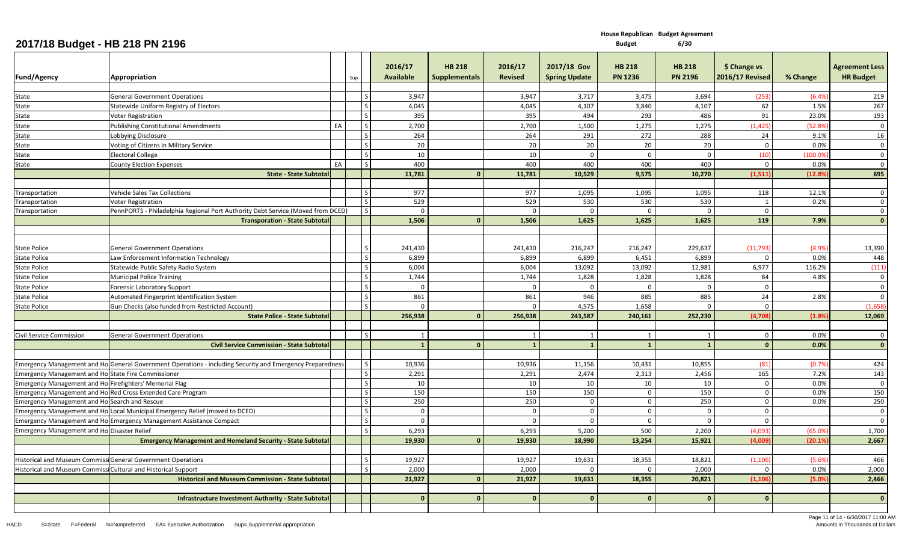|                                                            |                                                                                                           |    |               | 2016/17          | <b>HB 218</b>        | 2016/17        | 2017/18 Gov          | <b>HB 218</b>  | <b>HB 218</b>  | \$ Change vs           |          | <b>Agreement Less</b>   |
|------------------------------------------------------------|-----------------------------------------------------------------------------------------------------------|----|---------------|------------------|----------------------|----------------|----------------------|----------------|----------------|------------------------|----------|-------------------------|
| <b>Fund/Agency</b>                                         | Appropriation                                                                                             |    | Sup           | <b>Available</b> | <b>Supplementals</b> | <b>Revised</b> | <b>Spring Update</b> | <b>PN 1236</b> | <b>PN 2196</b> | <b>2016/17 Revised</b> | % Change | <b>HR Budget</b>        |
|                                                            |                                                                                                           |    |               |                  |                      |                |                      |                |                |                        |          |                         |
| State                                                      | <b>General Government Operations</b>                                                                      |    |               | 3,947            |                      | 3,947          | 3,717                | 3,475          | 3,694          | (253)                  | (6.4%    | 219                     |
| State                                                      | Statewide Uniform Registry of Electors                                                                    |    |               | 4,045            |                      | 4.045          | 4,107                | 3,840          | 4,107          | 62                     | 1.5%     | 267                     |
| State                                                      | Voter Registration                                                                                        |    |               | 395              |                      | 395            | 494                  | 293            | 486            | 91                     | 23.0%    | 193                     |
| State                                                      | <b>Publishing Constitutional Amendments</b>                                                               | EA |               | 2,700            |                      | 2,700          | 1,500                | 1,275          | 1,275          | (1, 425)               | (52.89   | $\overline{0}$          |
| State                                                      | Lobbying Disclosure                                                                                       |    |               | 264              |                      | 264            | 291                  | 272            | 288            | 24                     | 9.1%     | 16                      |
| State                                                      | Voting of Citizens in Military Service                                                                    |    |               | 20               |                      | 20             | 20                   | 20             | 20             | $\overline{0}$         | 0.0%     | $\mathbf 0$             |
| State                                                      | <b>Electoral College</b>                                                                                  |    |               | 10               |                      | 10             | $\Omega$             | $\mathbf{0}$   | $\Omega$       | (10)                   | (100.09) | $\overline{0}$          |
| State                                                      | <b>County Election Expenses</b>                                                                           | EA |               | 400              |                      | 400            | 400                  | 400            | 400            | $\Omega$               | 0.0%     | $\overline{0}$          |
|                                                            | <b>State - State Subtotal</b>                                                                             |    |               | 11,781           | $\mathbf{0}$         | 11,781         | 10,529               | 9,575          | 10,270         | (1,511)                | (12.89)  | 695                     |
| Transportation                                             | <b>Vehicle Sales Tax Collections</b>                                                                      |    |               | 977              |                      | 977            | 1,095                | 1,095          | 1,095          | 118                    | 12.1%    | $\overline{0}$          |
| Transportation                                             | <b>Voter Registration</b>                                                                                 |    |               | 529              |                      | 529            | 530                  | 530            | 530            | 1                      | 0.2%     | $\overline{0}$          |
| Transportation                                             | PennPORTS - Philadelphia Regional Port Authority Debt Service (Moved from DCED)                           |    |               | $\Omega$         |                      | $\Omega$       | $\Omega$             | $\Omega$       | $\Omega$       | $\overline{0}$         |          | $\overline{0}$          |
|                                                            | <b>Transporation - State Subtotal</b>                                                                     |    |               | 1,506            | - 0                  | 1,506          | 1,625                | 1,625          | 1,625          | 119                    | 7.9%     | $\overline{\mathbf{0}}$ |
|                                                            |                                                                                                           |    |               |                  |                      |                |                      |                |                |                        |          |                         |
|                                                            |                                                                                                           |    |               |                  |                      |                |                      |                |                |                        |          |                         |
| <b>State Police</b>                                        | <b>General Government Operations</b>                                                                      |    |               | 241,430          |                      | 241,430        | 216,247              | 216,247        | 229,637        | (11, 793)              | (4.9%    | 13,390                  |
| <b>State Police</b>                                        | Law Enforcement Information Technology                                                                    |    |               | 6,899            |                      | 6,899          | 6,899                | 6,451          | 6,899          | $\mathbf{0}$           | 0.0%     | 448                     |
| <b>State Police</b>                                        | Statewide Public Safety Radio System                                                                      |    |               | 6,004            |                      | 6,004          | 13,092               | 13,092         | 12,981         | 6,977                  | 116.2%   | (111)                   |
| <b>State Police</b>                                        | <b>Municipal Police Training</b>                                                                          |    |               | 1,744            |                      | 1,744          | 1,828                | 1,828          | 1,828          | 84                     | 4.8%     | $\mathbf 0$             |
| <b>State Police</b>                                        | Forensic Laboratory Support                                                                               |    |               |                  |                      | $\Omega$       | $\Omega$             | $\Omega$       | $\Omega$       | $\Omega$               |          | $\mathbf 0$             |
| <b>State Police</b>                                        | Automated Fingerprint Identification System                                                               |    |               | 861              |                      | 861            | 946                  | 885            | 885            | 24                     | 2.8%     | $\overline{0}$          |
| <b>State Police</b>                                        | Gun Checks (also funded from Restricted Account)                                                          |    |               | $\Omega$         |                      | $\Omega$       | 4,575                | 1,658          | $\Omega$       | $\mathbf{0}$           |          | (1.658)                 |
|                                                            | <b>State Police - State Subtotal</b>                                                                      |    |               | 256,938          | $\mathbf{0}$         | 256,938        | 243,587              | 240,161        | 252,230        | (4,708)                | (1.8%    | 12,069                  |
|                                                            |                                                                                                           |    |               |                  |                      |                |                      |                |                |                        |          |                         |
| Civil Service Commission                                   | <b>General Government Operations</b>                                                                      |    |               | $\overline{1}$   |                      | 1              | 1                    | 1              | $\overline{1}$ | $\mathbf 0$            | 0.0%     | $\overline{0}$          |
|                                                            | <b>Civil Service Commission - State Subtotal</b>                                                          |    |               |                  | $\Omega$             | $\mathbf{1}$   | $\mathbf{1}$         | $\mathbf{1}$   | $\overline{1}$ | $\mathbf{0}$           | 0.0%     | $\mathbf{0}$            |
|                                                            |                                                                                                           |    |               |                  |                      |                |                      |                |                |                        |          |                         |
|                                                            | Emergency Management and Ho General Government Operations - including Security and Emergency Preparedness |    |               | 10,936           |                      | 10,936         | 11,156               | 10,431         | 10,855         | (81)                   | (0.79)   | 424                     |
| <b>Emergency Management and Ho State Fire Commissioner</b> |                                                                                                           |    |               | 2,291            |                      | 2,291          | 2,474                | 2,313          | 2,456          | 165                    | 7.2%     | 143                     |
| Emergency Management and Ho Firefighters' Memorial Flag    |                                                                                                           |    |               | 10               |                      | 10             | 10                   | 10             | 10             | $\mathbf 0$            | 0.0%     | $\overline{0}$          |
|                                                            | Emergency Management and Ho Red Cross Extended Care Program                                               |    |               | 150              |                      | 150            | 150                  | $\mathbf 0$    | 150            | $\overline{0}$         | 0.0%     | 150                     |
| <b>Emergency Management and Ho Search and Rescue</b>       |                                                                                                           |    |               | 250              |                      | 250            | $\mathbf 0$          | $\overline{0}$ | 250            | $\overline{0}$         | 0.0%     | 250                     |
|                                                            | Emergency Management and Ho Local Municipal Emergency Relief (moved to DCED)                              |    |               | $\Omega$         |                      | $\mathbf 0$    | $\Omega$             | $\mathbf 0$    | $\Omega$       | $\Omega$               |          | $\overline{0}$          |
|                                                            | Emergency Management and Ho Emergency Management Assistance Compact                                       |    | $\mathcal{S}$ | $\overline{0}$   |                      | $\mathbf 0$    | $\Omega$             | $\mathbf 0$    | $\mathbf{0}$   | $\mathbf{0}$           |          | $\overline{0}$          |
| <b>Emergency Management and Ho Disaster Relief</b>         |                                                                                                           |    |               | 6,293            |                      | 6,293          | 5,200                | 500            | 2,200          | (4.093)                | (65.0%   | 1,700                   |
|                                                            | <b>Emergency Management and Homeland Security - State Subtotal</b>                                        |    |               | 19,930           | $\mathbf{0}$         | 19,930         | 18,990               | 13,254         | 15,921         | (4,009)                | (20.1%   | 2,667                   |
|                                                            |                                                                                                           |    |               |                  |                      |                |                      |                |                |                        |          |                         |
|                                                            | Historical and Museum Commissi General Government Operations                                              |    |               | 19,927           |                      | 19,927         | 19,631               | 18,355         | 18,821         | (1, 106)               | (5.69)   | 466                     |
| <b>Historical and Museum Commiss</b>                       | Cultural and Historical Support                                                                           |    |               | 2,000            |                      | 2,000          |                      |                | 2,000          | $\Omega$               | 0.0%     | 2,000                   |
|                                                            | <b>Historical and Museum Commission - State Subtotal</b>                                                  |    |               | 21,927           | $\mathbf{0}$         | 21,927         | 19,631               | 18,355         | 20,821         | (1, 106)               | (5.0%    | 2,466                   |
|                                                            |                                                                                                           |    |               |                  |                      |                |                      |                |                |                        |          |                         |
|                                                            | Infrastructure Investment Authority - State Subtotal                                                      |    |               | $\Omega$         | $\Omega$             | $\mathbf{0}$   | $\mathbf{0}$         | $\mathbf{0}$   | $\mathbf{0}$   | $\mathbf{0}$           |          | $\overline{\mathbf{0}}$ |
|                                                            |                                                                                                           |    |               |                  |                      |                |                      |                |                |                        |          |                         |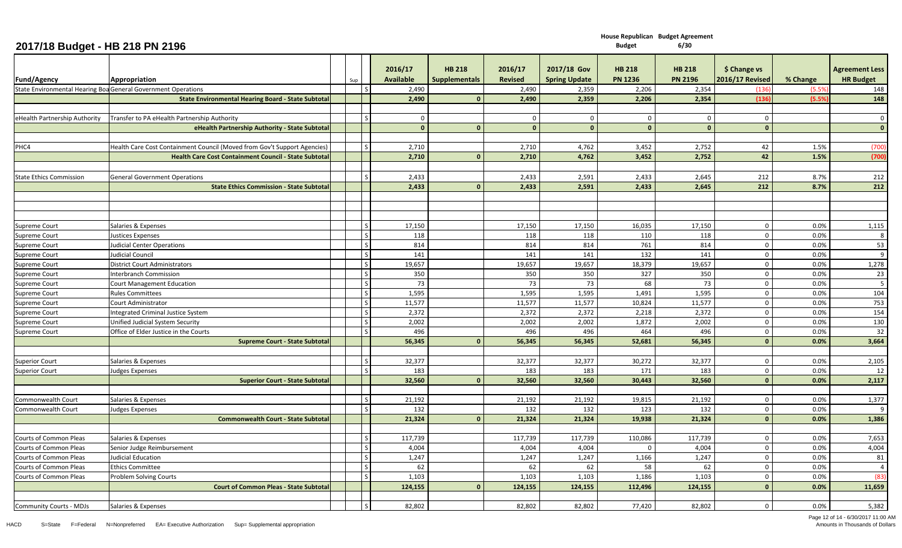| <b>Fund/Agency</b>             | Appropriation                                                            | Sup | 2016/17<br><b>Available</b> | <b>HB 218</b><br><b>Supplementals</b> | 2016/17<br><b>Revised</b> | 2017/18 Gov<br><b>Spring Update</b> | <b>HB 218</b><br><b>PN 1236</b> | <b>HB 218</b><br><b>PN 2196</b> | \$ Change vs<br><b>2016/17 Revised</b> | % Change | <b>Agreement Less</b><br><b>HR Budget</b> |
|--------------------------------|--------------------------------------------------------------------------|-----|-----------------------------|---------------------------------------|---------------------------|-------------------------------------|---------------------------------|---------------------------------|----------------------------------------|----------|-------------------------------------------|
|                                | State Environmental Hearing Boa General Government Operations            |     | 2,490                       |                                       | 2,490                     | 2,359                               | 2,206                           | 2,354                           | (136)                                  | (5.5%    | 148                                       |
|                                | <b>State Environmental Hearing Board - State Subtotal</b>                |     | 2,490                       | $\Omega$                              | 2,490                     | 2,359                               | 2,206                           | 2,354                           | (136)                                  | (5.5%    | 148                                       |
|                                |                                                                          |     |                             |                                       |                           |                                     |                                 |                                 |                                        |          |                                           |
| eHealth Partnership Authority  | Transfer to PA eHealth Partnership Authority                             |     | $\mathbf 0$                 |                                       | $\mathbf 0$               | $\mathbf 0$                         | $\mathbf 0$                     | $\Omega$                        | $\mathbf 0$                            |          | $\mathbf 0$                               |
|                                | eHealth Partnership Authority - State Subtotal                           |     | $\mathbf{0}$                | $\mathbf{0}$                          | $\mathbf{0}$              | $\Omega$                            | $\mathbf{0}$                    | $\Omega$                        | $\mathbf{0}$                           |          | $\mathbf{0}$                              |
|                                |                                                                          |     |                             |                                       |                           |                                     |                                 |                                 |                                        |          |                                           |
| PHC4                           | Health Care Cost Containment Council (Moved from Gov't Support Agencies) |     | 2,710                       |                                       | 2,710                     | 4,762                               | 3,452                           | 2,752                           | 42                                     | 1.5%     | (700)                                     |
|                                | <b>Health Care Cost Containment Council - State Subtotal</b>             |     | 2,710                       | $\Omega$                              | 2,710                     | 4,762                               | 3,452                           | 2,752                           | 42                                     | 1.5%     | (700)                                     |
|                                |                                                                          |     |                             |                                       |                           |                                     |                                 |                                 |                                        |          |                                           |
| <b>State Ethics Commission</b> | <b>General Government Operations</b>                                     |     | 2,433                       |                                       | 2,433                     | 2,591                               | 2,433                           | 2,645                           | 212                                    | 8.7%     | 212                                       |
|                                | <b>State Ethics Commission - State Subtotal</b>                          |     | 2,433                       | $\mathbf{0}$                          | 2,433                     | 2,591                               | 2,433                           | 2,645                           | 212                                    | 8.7%     | 212                                       |
|                                |                                                                          |     |                             |                                       |                           |                                     |                                 |                                 |                                        |          |                                           |
|                                |                                                                          |     |                             |                                       |                           |                                     |                                 |                                 |                                        |          |                                           |
|                                |                                                                          |     |                             |                                       |                           |                                     |                                 |                                 |                                        |          |                                           |
| <b>Supreme Court</b>           | Salaries & Expenses                                                      |     | 17,150                      |                                       | 17,150                    | 17,150                              | 16,035                          | 17,150                          | $\mathbf 0$                            | 0.0%     | 1,115                                     |
| <b>Supreme Court</b>           | <b>Justices Expenses</b>                                                 |     | 118                         |                                       | 118                       | 118                                 | 110                             | 118                             | $\mathbf 0$                            | 0.0%     | 8                                         |
| <b>Supreme Court</b>           | <b>Judicial Center Operations</b>                                        |     | 814                         |                                       | 814                       | 814                                 | 761                             | 814                             | $\pmb{0}$                              | 0.0%     | 53                                        |
| <b>Supreme Court</b>           | <b>Judicial Council</b>                                                  |     | 141                         |                                       | 141                       | 141                                 | 132                             | 141                             | $\mathbf 0$                            | 0.0%     | 9                                         |
| <b>Supreme Court</b>           | <b>District Court Administrators</b>                                     |     | 19,657                      |                                       | 19,657                    | 19,657                              | 18,379                          | 19,657                          | $\pmb{0}$                              | 0.0%     | 1,278                                     |
| <b>Supreme Court</b>           | Interbranch Commission                                                   |     | 350                         |                                       | 350                       | 350                                 | 327                             | 350                             | $\mathbf 0$                            | 0.0%     | 23                                        |
| <b>Supreme Court</b>           | <b>Court Management Education</b>                                        |     | 73                          |                                       | 73                        | 73                                  | 68                              | 73                              | $\mathbf 0$                            | 0.0%     | $5\phantom{.0}$                           |
| <b>Supreme Court</b>           | <b>Rules Committees</b>                                                  |     | 1,595                       |                                       | 1,595                     | 1,595                               | 1,491                           | 1,595                           | $\mathbf 0$                            | 0.0%     | 104                                       |
| <b>Supreme Court</b>           | Court Administrator                                                      |     | 11,577                      |                                       | 11,577                    | 11,577                              | 10,824                          | 11,577                          | $\mathbf 0$                            | 0.0%     | 753                                       |
| <b>Supreme Court</b>           | <b>Integrated Criminal Justice System</b>                                |     | 2,372                       |                                       | 2,372                     | 2,372                               | 2,218                           | 2,372                           | $\mathbf 0$                            | 0.0%     | 154                                       |
| Supreme Court                  | Unified Judicial System Security                                         |     | 2,002                       |                                       | 2,002                     | 2,002                               | 1,872                           | 2,002                           | $\mathbf 0$                            | 0.0%     | 130                                       |
| Supreme Court                  | Office of Elder Justice in the Courts                                    |     | 496                         |                                       | 496                       | 496                                 | 464                             | 496                             | $\mathbf 0$                            | 0.0%     | 32                                        |
|                                | <b>Supreme Court - State Subtotal</b>                                    |     | 56,345                      | $\Omega$                              | 56,345                    | 56,345                              | 52,681                          | 56,345                          | $\mathbf{0}$                           | 0.0%     | 3,664                                     |
|                                |                                                                          |     |                             |                                       |                           |                                     |                                 |                                 |                                        |          |                                           |
| <b>Superior Court</b>          | Salaries & Expenses                                                      |     | 32,377                      |                                       | 32,377                    | 32,377                              | 30,272                          | 32,377                          | $\mathbf 0$                            | 0.0%     | 2,105                                     |
| <b>Superior Court</b>          | <b>Judges Expenses</b>                                                   |     | 183                         |                                       | 183                       | 183                                 | 171                             | 183                             | $\mathbf 0$                            | 0.0%     | 12                                        |
|                                | <b>Superior Court - State Subtotal</b>                                   |     | 32,560                      |                                       | 32,560                    | 32,560                              | 30,443                          | 32,560                          | $\mathbf{0}$                           | 0.0%     | 2,117                                     |
|                                |                                                                          |     |                             |                                       |                           |                                     |                                 |                                 |                                        |          |                                           |
| <b>Commonwealth Court</b>      | Salaries & Expenses                                                      |     | 21,192                      |                                       | 21,192                    | 21,192                              | 19,815                          | 21,192                          | $\mathbf 0$                            | 0.0%     | 1,377                                     |
| Commonwealth Court             | <b>Judges Expenses</b>                                                   |     | 132                         |                                       | 132                       | 132                                 | 123                             | 132                             | $\mathbf 0$                            | 0.0%     | 9                                         |
|                                | <b>Commonwealth Court - State Subtotal</b>                               |     | 21,324                      | $\mathbf{0}$                          | 21,324                    | 21,324                              | 19,938                          | 21,324                          | $\mathbf{0}$                           | 0.0%     | 1,386                                     |
|                                |                                                                          |     |                             |                                       |                           |                                     |                                 |                                 |                                        |          |                                           |
| <b>Courts of Common Pleas</b>  | Salaries & Expenses                                                      |     | 117,739                     |                                       | 117,739                   | 117,739                             | 110,086                         | 117,739                         | $\mathbf 0$                            | 0.0%     | 7,653                                     |
| <b>Courts of Common Pleas</b>  | Senior Judge Reimbursement                                               |     | 4,004                       |                                       | 4,004                     | 4,004                               | $\mathbf 0$                     | 4,004                           | $\mathbf 0$                            | 0.0%     | 4,004                                     |
| Courts of Common Pleas         | <b>Judicial Education</b>                                                |     | 1,247                       |                                       | 1,247                     | 1,247                               | 1,166                           | 1,247                           | $\mathbf 0$                            | 0.0%     | 81                                        |
| <b>Courts of Common Pleas</b>  | <b>Ethics Committee</b>                                                  |     | 62                          |                                       | 62                        | 62                                  | 58                              | 62                              | $\mathbf 0$                            | 0.0%     | $\overline{4}$                            |
| <b>Courts of Common Pleas</b>  | Problem Solving Courts                                                   |     | 1,103                       |                                       | 1,103                     | 1,103                               | 1,186                           | 1,103                           | $\mathbf 0$<br>$\mathbf{0}$            | 0.0%     | (83)                                      |
|                                | <b>Court of Common Pleas - State Subtotal</b>                            |     | 124,155                     |                                       | 124,155                   | 124,155                             | 112,496                         | 124,155                         |                                        | 0.0%     | 11,659                                    |
|                                |                                                                          |     | 82,802                      |                                       | 82,802                    | 82,802                              | 77,420                          | 82,802                          | $\Omega$                               | 0.0%     | 5,382                                     |
| <b>Community Courts - MDJs</b> | Salaries & Expenses                                                      |     |                             |                                       |                           |                                     |                                 |                                 |                                        |          |                                           |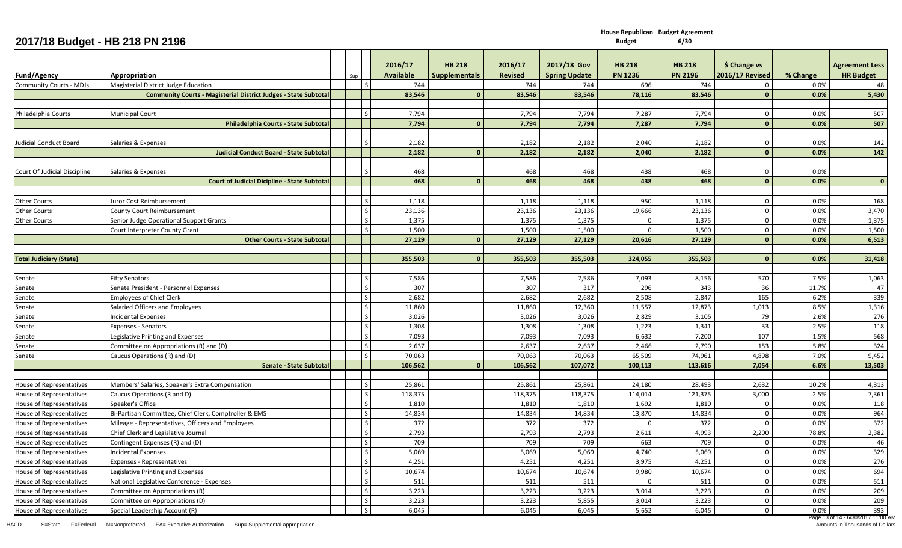**House Republican Budget Agreement Budget 6/30**

## **2017/18 Budget - HB 218 PN 2196**

|                                                             |                                                                                |                         | 2016/17          | <b>HB 218</b>        | 2016/17        | 2017/18 Gov          | <b>HB 218</b>  | <b>HB 218</b>  | \$ Change vs           |          | <b>Agreement Less</b>   |
|-------------------------------------------------------------|--------------------------------------------------------------------------------|-------------------------|------------------|----------------------|----------------|----------------------|----------------|----------------|------------------------|----------|-------------------------|
| Fund/Agency                                                 | Appropriation                                                                  | Sup                     | <b>Available</b> | <b>Supplementals</b> | <b>Revised</b> | <b>Spring Update</b> | <b>PN 1236</b> | <b>PN 2196</b> | <b>2016/17 Revised</b> | % Change | <b>HR Budget</b>        |
| <b>Community Courts - MDJs</b>                              | Magisterial District Judge Education                                           | l s                     | 744              |                      | 744            | 744                  | 696            | 744            | $\mathbf{0}$           | 0.0%     | 48                      |
|                                                             | <b>Community Courts - Magisterial District Judges - State Subtota</b>          |                         | 83,546           | $\mathbf{0}$         | 83,546         | 83,546               | 78,116         | 83,546         | $\mathbf{0}$           | 0.0%     | 5,430                   |
|                                                             |                                                                                |                         |                  |                      |                |                      |                |                |                        |          |                         |
| Philadelphia Courts                                         | <b>Municipal Court</b>                                                         | l s                     | 7,794            |                      | 7,794          | 7,794                | 7,287          | 7,794          | $\overline{0}$         | 0.0%     | 507                     |
|                                                             | Philadelphia Courts - State Subtotal                                           |                         | 7,794            | $\Omega$             | 7,794          | 7,794                | 7,287          | 7,794          | $\mathbf{0}$           | 0.0%     | 507                     |
|                                                             |                                                                                |                         |                  |                      |                |                      |                |                |                        |          |                         |
| udicial Conduct Board                                       | Salaries & Expenses                                                            | l s                     | 2,182            |                      | 2,182          | 2,182                | 2,040          | 2,182          | $\overline{0}$         | 0.0%     | 142                     |
|                                                             | <b>Judicial Conduct Board - State Subtota</b>                                  |                         | 2,182            | $\mathbf{0}$         | 2,182          | 2,182                | 2,040          | 2,182          | $\mathbf{0}$           | 0.0%     | 142                     |
|                                                             |                                                                                |                         |                  |                      |                |                      |                |                |                        |          |                         |
| Court Of Judicial Discipline                                | Salaries & Expenses                                                            | l s                     | 468              |                      | 468            | 468                  | 438            | 468            | $\overline{0}$         | 0.0%     |                         |
|                                                             | <b>Court of Judicial Dicipline - State Subtota</b>                             |                         | 468              | $\Omega$             | 468            | 468                  | 438            | 468            | $\mathbf{0}$           | 0.0%     | $\overline{\mathbf{0}}$ |
|                                                             |                                                                                | l s                     | 1,118            |                      | 1,118          | 1,118                | 950            | 1,118          | $\mathbf{0}$           | 0.0%     |                         |
| <b>Other Courts</b><br><b>Other Courts</b>                  | Juror Cost Reimbursement<br><b>County Court Reimbursement</b>                  | l s                     | 23,136           |                      | 23,136         | 23,136               | 19,666         | 23,136         | $\mathbf{0}$           | 0.0%     | 168<br>3,470            |
| <b>Other Courts</b>                                         | Senior Judge Operational Support Grants                                        | $\overline{\mathsf{s}}$ | 1,375            |                      | 1,375          | 1,375                | $\mathbf 0$    | 1,375          | $\overline{0}$         | 0.0%     | 1,375                   |
|                                                             | Court Interpreter County Grant                                                 | l s                     | 1,500            |                      | 1,500          | 1,500                | $\Omega$       | 1,500          | $\overline{0}$         | 0.0%     | 1,500                   |
|                                                             | <b>Other Courts - State Subtota</b>                                            |                         | 27,129           | $\Omega$             | 27,129         | 27,129               | 20,616         | 27,129         | $\mathbf{0}$           | 0.0%     | 6,513                   |
|                                                             |                                                                                |                         |                  |                      |                |                      |                |                |                        |          |                         |
| <b>Total Judiciary (State)</b>                              |                                                                                |                         | 355,503          | $\mathbf{0}$         | 355,503        | 355,503              | 324,055        | 355,503        | $\mathbf{0}$           | 0.0%     | 31,418                  |
|                                                             |                                                                                |                         |                  |                      |                |                      |                |                |                        |          |                         |
| Senate                                                      | <b>Fifty Senators</b>                                                          |                         | 7,586            |                      | 7,586          | 7,586                | 7,093          | 8,156          | 570                    | 7.5%     | 1,063                   |
| Senate                                                      | Senate President - Personnel Expenses                                          | l s                     | 307              |                      | 307            | 317                  | 296            | 343            | 36                     | 11.7%    | 47                      |
| Senate                                                      | <b>Employees of Chief Clerk</b>                                                | l s                     | 2,682            |                      | 2,682          | 2,682                | 2,508          | 2,847          | 165                    | 6.2%     | 339                     |
| Senate                                                      | Salaried Officers and Employees                                                | l s                     | 11,860           |                      | 11,860         | 12,360               | 11,557         | 12,873         | 1,013                  | 8.5%     | 1,316                   |
| Senate                                                      | Incidental Expenses                                                            | l s                     | 3,026            |                      | 3,026          | 3,026                | 2,829          | 3,105          | 79                     | 2.6%     | 276                     |
| Senate                                                      | Expenses - Senators                                                            | l s                     | 1,308            |                      | 1,308          | 1,308                | 1,223          | 1,341          | 33                     | 2.5%     | 118                     |
| Senate                                                      | Legislative Printing and Expenses                                              | l s                     | 7,093            |                      | 7,093          | 7,093                | 6,632          | 7,200          | 107                    | 1.5%     | 568                     |
| Senate                                                      | Committee on Appropriations (R) and (D)                                        | l s                     | 2,637            |                      | 2,637          | 2,637                | 2,466          | 2,790          | 153                    | 5.8%     | 324                     |
| Senate                                                      | Caucus Operations (R) and (D)                                                  | l s                     | 70,063           |                      | 70,063         | 70,063               | 65,509         | 74,961         | 4,898                  | 7.0%     | 9,452                   |
|                                                             | Senate - State Subtota                                                         |                         | 106,562          | $\Omega$             | 106,562        | 107,072              | 100,113        | 113,616        | 7,054                  | 6.6%     | 13,503                  |
|                                                             |                                                                                | l s                     | 25,861           |                      | 25,861         | 25,861               | 24,180         | 28,493         | 2,632                  | 10.2%    | 4,313                   |
| <b>House of Representatives</b><br>House of Representatives | Members' Salaries, Speaker's Extra Compensation<br>Caucus Operations (R and D) | l s                     | 118,375          |                      | 118,375        | 118,375              | 114,014        | 121,375        | 3,000                  | 2.5%     | 7,361                   |
| House of Representatives                                    | Speaker's Office                                                               | l s                     | 1,810            |                      | 1,810          | 1,810                | 1,692          | 1,810          | $\mathbf 0$            | 0.0%     | 118                     |
| House of Representatives                                    | Bi-Partisan Committee, Chief Clerk, Comptroller & EMS                          | l s                     | 14,834           |                      | 14,834         | 14,834               | 13,870         | 14,834         | $\overline{0}$         | 0.0%     | 964                     |
| House of Representatives                                    | Mileage - Representatives, Officers and Employees                              | l s                     | 372              |                      | 372            | 372                  | $\Omega$       | 372            | $\Omega$               | 0.0%     | 372                     |
| House of Representatives                                    | Chief Clerk and Legislative Journal                                            | l s                     | 2,793            |                      | 2,793          | 2,793                | 2,611          | 4,993          | 2,200                  | 78.8%    | 2,382                   |
| House of Representatives                                    | Contingent Expenses (R) and (D)                                                | l s                     | 709              |                      | 709            | 709                  | 663            | 709            | $\overline{0}$         | 0.0%     | 46                      |
| House of Representatives                                    | <b>Incidental Expenses</b>                                                     | l s                     | 5,069            |                      | 5,069          | 5,069                | 4,740          | 5,069          | $\mathbf{0}$           | 0.0%     | 329                     |
| House of Representatives                                    | Expenses - Representatives                                                     | l s                     | 4,251            |                      | 4,251          | 4,251                | 3,975          | 4,251          | $\overline{0}$         | 0.0%     | 276                     |
| <b>House of Representatives</b>                             | Legislative Printing and Expenses                                              | l s                     | 10,674           |                      | 10,674         | 10,674               | 9,980          | 10,674         | $\overline{0}$         | 0.0%     | 694                     |
| <b>House of Representatives</b>                             | National Legislative Conference - Expenses                                     | l s                     | 511              |                      | 511            | 511                  | $\Omega$       | 511            | $\overline{0}$         | 0.0%     | 511                     |
| <b>House of Representatives</b>                             | Committee on Appropriations (R)                                                | l s                     | 3,223            |                      | 3,223          | 3,223                | 3,014          | 3,223          | $\overline{0}$         | 0.0%     | 209                     |
| <b>House of Representatives</b>                             | Committee on Appropriations (D)                                                | l s                     | 3,223            |                      | 3,223          | 5,855                | 3,014          | 3,223          | $\mathbf{0}$           | 0.0%     | 209                     |
| <b>House of Representatives</b>                             | Special Leadership Account (R)                                                 | l s                     | 6,045            |                      | 6,045          | 6,045                | 5,652          | 6,045          | $\overline{0}$         | 0.0%     | 393                     |